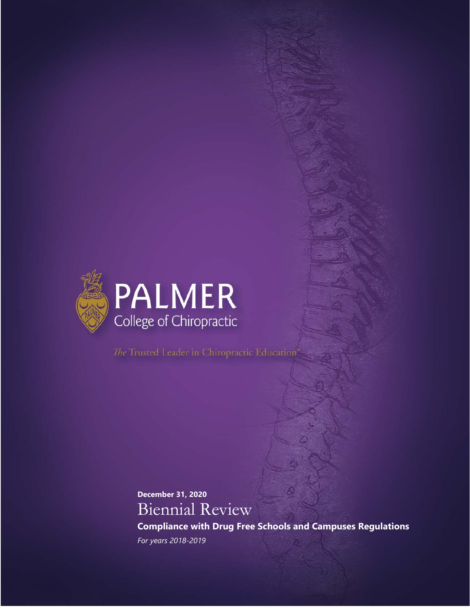

The Trusted Leader in Chiropractic Education<sup>6</sup>

**December 31, 2020** Biennial Review

**Compliance with Drug Free Schools and Campuses Regulations**  *For years 2018-2019*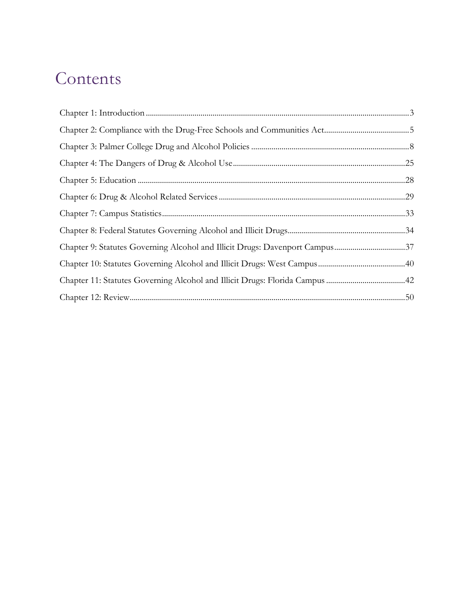# Contents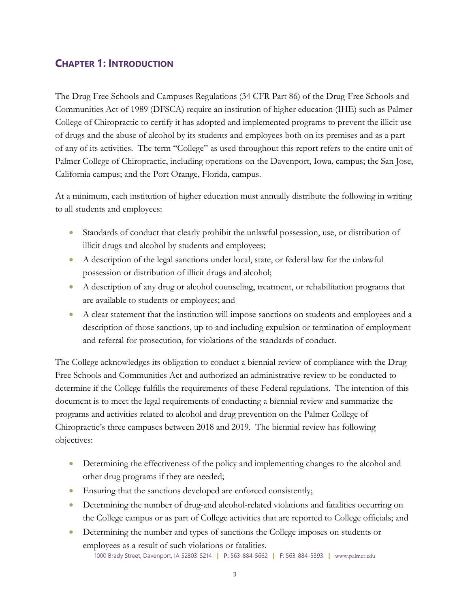# <span id="page-2-0"></span>**CHAPTER 1: INTRODUCTION**

The Drug Free Schools and Campuses Regulations (34 CFR Part 86) of the Drug-Free Schools and Communities Act of 1989 (DFSCA) require an institution of higher education (IHE) such as Palmer College of Chiropractic to certify it has adopted and implemented programs to prevent the illicit use of drugs and the abuse of alcohol by its students and employees both on its premises and as a part of any of its activities. The term "College" as used throughout this report refers to the entire unit of Palmer College of Chiropractic, including operations on the Davenport, Iowa, campus; the San Jose, California campus; and the Port Orange, Florida, campus.

At a minimum, each institution of higher education must annually distribute the following in writing to all students and employees:

- Standards of conduct that clearly prohibit the unlawful possession, use, or distribution of illicit drugs and alcohol by students and employees;
- A description of the legal sanctions under local, state, or federal law for the unlawful possession or distribution of illicit drugs and alcohol;
- A description of any drug or alcohol counseling, treatment, or rehabilitation programs that are available to students or employees; and
- A clear statement that the institution will impose sanctions on students and employees and a description of those sanctions, up to and including expulsion or termination of employment and referral for prosecution, for violations of the standards of conduct.

The College acknowledges its obligation to conduct a biennial review of compliance with the Drug Free Schools and Communities Act and authorized an administrative review to be conducted to determine if the College fulfills the requirements of these Federal regulations. The intention of this document is to meet the legal requirements of conducting a biennial review and summarize the programs and activities related to alcohol and drug prevention on the Palmer College of Chiropractic's three campuses between 2018 and 2019. The biennial review has following objectives:

- Determining the effectiveness of the policy and implementing changes to the alcohol and other drug programs if they are needed;
- Ensuring that the sanctions developed are enforced consistently;
- Determining the number of drug-and alcohol-related violations and fatalities occurring on the College campus or as part of College activities that are reported to College officials; and
- 1000 Brady Street, Davenport, IA 52803-5214 **|** P: 563-884-5662 **|** F: 563-884-5393 **|** www.palmer.edu • Determining the number and types of sanctions the College imposes on students or employees as a result of such violations or fatalities.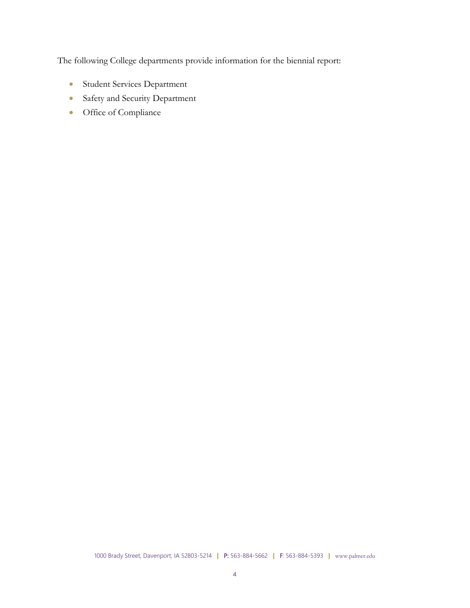The following College departments provide information for the biennial report:

- Student Services Department
- Safety and Security Department
- Office of Compliance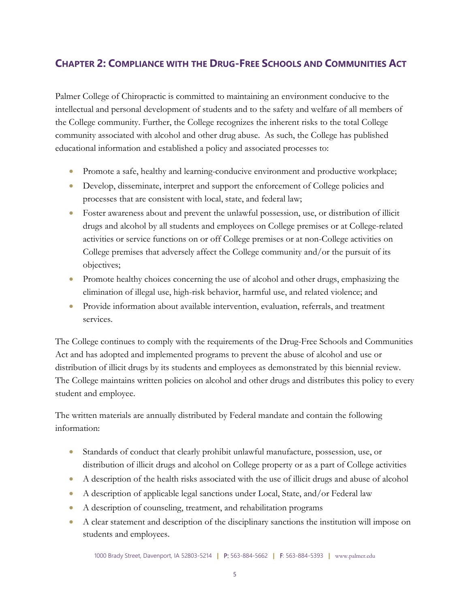# <span id="page-4-0"></span>**CHAPTER 2: COMPLIANCE WITH THE DRUG-FREE SCHOOLS AND COMMUNITIES ACT**

Palmer College of Chiropractic is committed to maintaining an environment conducive to the intellectual and personal development of students and to the safety and welfare of all members of the College community. Further, the College recognizes the inherent risks to the total College community associated with alcohol and other drug abuse. As such, the College has published educational information and established a policy and associated processes to:

- Promote a safe, healthy and learning-conducive environment and productive workplace;
- Develop, disseminate, interpret and support the enforcement of College policies and processes that are consistent with local, state, and federal law;
- Foster awareness about and prevent the unlawful possession, use, or distribution of illicit drugs and alcohol by all students and employees on College premises or at College-related activities or service functions on or off College premises or at non-College activities on College premises that adversely affect the College community and/or the pursuit of its objectives;
- Promote healthy choices concerning the use of alcohol and other drugs, emphasizing the elimination of illegal use, high-risk behavior, harmful use, and related violence; and
- Provide information about available intervention, evaluation, referrals, and treatment services.

The College continues to comply with the requirements of the Drug-Free Schools and Communities Act and has adopted and implemented programs to prevent the abuse of alcohol and use or distribution of illicit drugs by its students and employees as demonstrated by this biennial review. The College maintains written policies on alcohol and other drugs and distributes this policy to every student and employee.

The written materials are annually distributed by Federal mandate and contain the following information:

- Standards of conduct that clearly prohibit unlawful manufacture, possession, use, or distribution of illicit drugs and alcohol on College property or as a part of College activities
- A description of the health risks associated with the use of illicit drugs and abuse of alcohol
- A description of applicable legal sanctions under Local, State, and/or Federal law
- A description of counseling, treatment, and rehabilitation programs
- A clear statement and description of the disciplinary sanctions the institution will impose on students and employees.

1000 Brady Street, Davenport, IA 52803-5214 **|** P: 563-884-5662 **|** F: 563-884-5393 **|** www.palmer.edu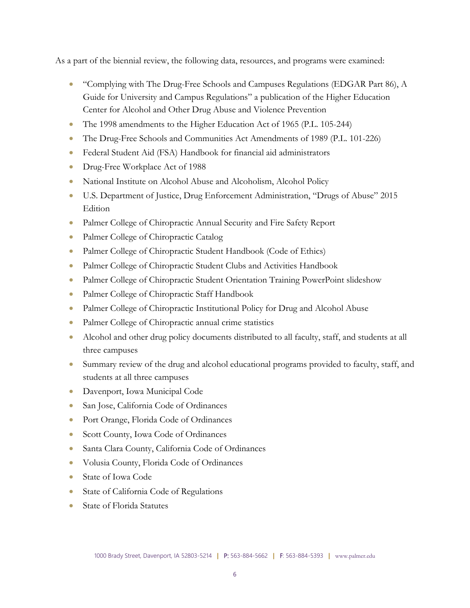As a part of the biennial review, the following data, resources, and programs were examined:

- "Complying with The Drug-Free Schools and Campuses Regulations (EDGAR Part 86), A Guide for University and Campus Regulations" a publication of the Higher Education Center for Alcohol and Other Drug Abuse and Violence Prevention
- The 1998 amendments to the Higher Education Act of 1965 (P.L. 105-244)
- The Drug-Free Schools and Communities Act Amendments of 1989 (P.L. 101-226)
- Federal Student Aid (FSA) Handbook for financial aid administrators
- Drug-Free Workplace Act of 1988
- National Institute on Alcohol Abuse and Alcoholism, Alcohol Policy
- U.S. Department of Justice, Drug Enforcement Administration, "Drugs of Abuse" 2015 **Edition**
- Palmer College of Chiropractic Annual Security and Fire Safety Report
- Palmer College of Chiropractic Catalog
- Palmer College of Chiropractic Student Handbook (Code of Ethics)
- Palmer College of Chiropractic Student Clubs and Activities Handbook
- Palmer College of Chiropractic Student Orientation Training PowerPoint slideshow
- Palmer College of Chiropractic Staff Handbook
- Palmer College of Chiropractic Institutional Policy for Drug and Alcohol Abuse
- Palmer College of Chiropractic annual crime statistics
- Alcohol and other drug policy documents distributed to all faculty, staff, and students at all three campuses
- Summary review of the drug and alcohol educational programs provided to faculty, staff, and students at all three campuses
- Davenport, Iowa Municipal Code
- San Jose, California Code of Ordinances
- Port Orange, Florida Code of Ordinances
- Scott County, Iowa Code of Ordinances
- Santa Clara County, California Code of Ordinances
- Volusia County, Florida Code of Ordinances
- State of Iowa Code
- State of California Code of Regulations
- State of Florida Statutes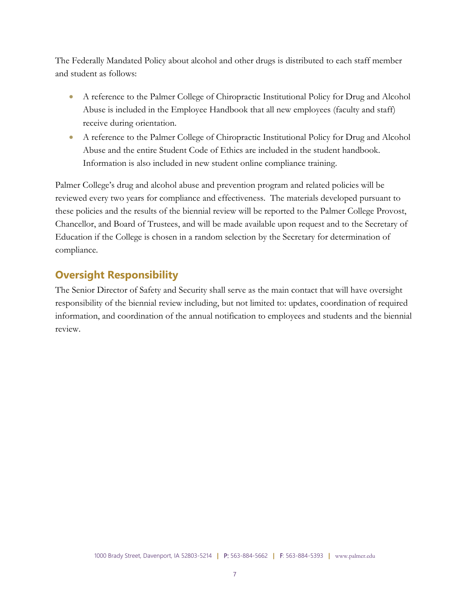The Federally Mandated Policy about alcohol and other drugs is distributed to each staff member and student as follows:

- A reference to the Palmer College of Chiropractic Institutional Policy for Drug and Alcohol Abuse is included in the Employee Handbook that all new employees (faculty and staff) receive during orientation.
- A reference to the Palmer College of Chiropractic Institutional Policy for Drug and Alcohol Abuse and the entire Student Code of Ethics are included in the student handbook. Information is also included in new student online compliance training.

Palmer College's drug and alcohol abuse and prevention program and related policies will be reviewed every two years for compliance and effectiveness. The materials developed pursuant to these policies and the results of the biennial review will be reported to the Palmer College Provost, Chancellor, and Board of Trustees, and will be made available upon request and to the Secretary of Education if the College is chosen in a random selection by the Secretary for determination of compliance.

# **Oversight Responsibility**

The Senior Director of Safety and Security shall serve as the main contact that will have oversight responsibility of the biennial review including, but not limited to: updates, coordination of required information, and coordination of the annual notification to employees and students and the biennial review.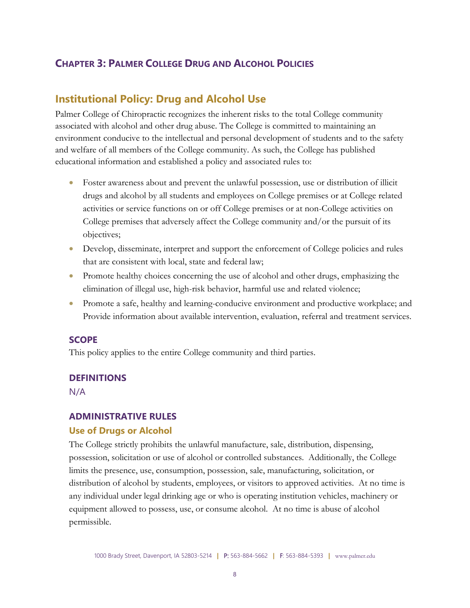## <span id="page-7-0"></span>**CHAPTER 3: PALMER COLLEGE DRUG AND ALCOHOL POLICIES**

## **Institutional Policy: Drug and Alcohol Use**

Palmer College of Chiropractic recognizes the inherent risks to the total College community associated with alcohol and other drug abuse. The College is committed to maintaining an environment conducive to the intellectual and personal development of students and to the safety and welfare of all members of the College community. As such, the College has published educational information and established a policy and associated rules to:

- Foster awareness about and prevent the unlawful possession, use or distribution of illicit drugs and alcohol by all students and employees on College premises or at College related activities or service functions on or off College premises or at non-College activities on College premises that adversely affect the College community and/or the pursuit of its objectives;
- Develop, disseminate, interpret and support the enforcement of College policies and rules that are consistent with local, state and federal law;
- Promote healthy choices concerning the use of alcohol and other drugs, emphasizing the elimination of illegal use, high-risk behavior, harmful use and related violence;
- Promote a safe, healthy and learning-conducive environment and productive workplace; and Provide information about available intervention, evaluation, referral and treatment services.

#### **SCOPE**

This policy applies to the entire College community and third parties.

#### **DEFINITIONS**

N/A

#### **ADMINISTRATIVE RULES**

#### **Use of Drugs or Alcohol**

The College strictly prohibits the unlawful manufacture, sale, distribution, dispensing, possession, solicitation or use of alcohol or controlled substances. Additionally, the College limits the presence, use, consumption, possession, sale, manufacturing, solicitation, or distribution of alcohol by students, employees, or visitors to approved activities. At no time is any individual under legal drinking age or who is operating institution vehicles, machinery or equipment allowed to possess, use, or consume alcohol. At no time is abuse of alcohol permissible.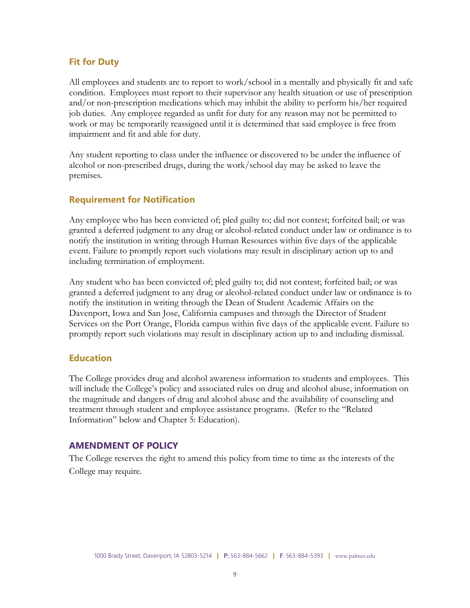#### **Fit for Duty**

All employees and students are to report to work/school in a mentally and physically fit and safe condition. Employees must report to their supervisor any health situation or use of prescription and/or non-prescription medications which may inhibit the ability to perform his/her required job duties. Any employee regarded as unfit for duty for any reason may not be permitted to work or may be temporarily reassigned until it is determined that said employee is free from impairment and fit and able for duty.

Any student reporting to class under the influence or discovered to be under the influence of alcohol or non-prescribed drugs, during the work/school day may be asked to leave the premises.

## **Requirement for Notification**

Any employee who has been convicted of; pled guilty to; did not contest; forfeited bail; or was granted a deferred judgment to any drug or alcohol-related conduct under law or ordinance is to notify the institution in writing through Human Resources within five days of the applicable event. Failure to promptly report such violations may result in disciplinary action up to and including termination of employment.

Any student who has been convicted of; pled guilty to; did not contest; forfeited bail; or was granted a deferred judgment to any drug or alcohol-related conduct under law or ordinance is to notify the institution in writing through the Dean of Student Academic Affairs on the Davenport, Iowa and San Jose, California campuses and through the Director of Student Services on the Port Orange, Florida campus within five days of the applicable event. Failure to promptly report such violations may result in disciplinary action up to and including dismissal.

#### **Education**

The College provides drug and alcohol awareness information to students and employees. This will include the College's policy and associated rules on drug and alcohol abuse, information on the magnitude and dangers of drug and alcohol abuse and the availability of counseling and treatment through student and employee assistance programs. (Refer to the "Related Information" below and Chapter 5: Education).

#### **AMENDMENT OF POLICY**

The College reserves the right to amend this policy from time to time as the interests of the College may require.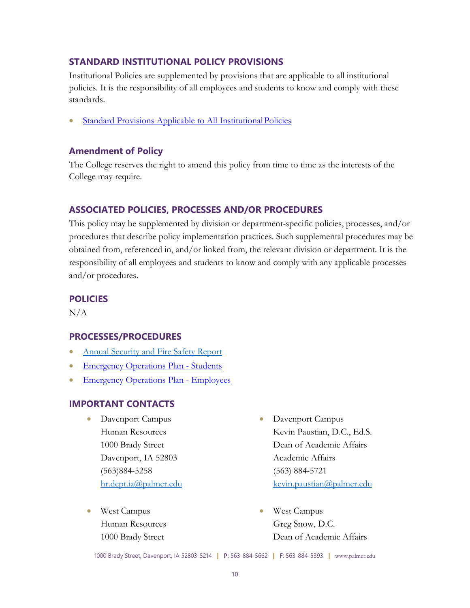## **STANDARD INSTITUTIONAL POLICY PROVISIONS**

Institutional Policies are supplemented by provisions that are applicable to all institutional policies. It is the responsibility of all employees and students to know and comply with these standards.

• Standard Provisions Applicable to All Institutional Policies

#### **Amendment of Policy**

The College reserves the right to amend this policy from time to time as the interests of the College may require.

#### **ASSOCIATED POLICIES, PROCESSES AND/OR PROCEDURES**

This policy may be supplemented by division or department-specific policies, processes, and/or procedures that describe policy implementation practices. Such supplemental procedures may be obtained from, referenced in, and/or linked from, the relevant division or department. It is the responsibility of all employees and students to know and comply with any applicable processes and/or procedures.

#### **POLICIES**

N/A

#### **PROCESSES/PROCEDURES**

- [Annual Security and Fire Safety Report](https://www.palmer.edu/getmedia/cdc5f9ab-8e2d-47b5-af7c-0a58f7a9250d/2020-annual-security-fire-safety-report.pdf)
- [Emergency Operations Plan](https://livepalmer.sharepoint.com/:b:/r/sites/SafetyandSecurity/Shared%20Documents/IP%20Emergency%20Operations%20Plan_Student%20Version.pdf?csf=1&web=1&e=rwOYYF) Students
- [Emergency Operations](https://livepalmer.sharepoint.com/sites/SafetyandSecurity/Shared%20Documents/IP%20Emergency%20Operations%20Plan_Employee%20Version.pdf) Plan Employees

#### **IMPORTANT CONTACTS**

- Davenport Campus Human Resources 1000 Brady Street Davenport, IA 52803 (563)884-5258 [hr.dept.ia@palmer.edu](mailto:hr.dept.ia@palmer.edu)
- West Campus Human Resources 1000 Brady Street
- Davenport Campus Kevin Paustian, D.C., Ed.S. Dean of Academic Affairs Academic Affairs (563) 884-5721 [kevin.paustian@palmer.edu](mailto:kevin.paustian@palmer.edu)
- West Campus Greg Snow, D.C. Dean of Academic Affairs

1000 Brady Street, Davenport, IA 52803-5214 **|** P: 563-884-5662 **|** F: 563-884-5393 **|** www.palmer.edu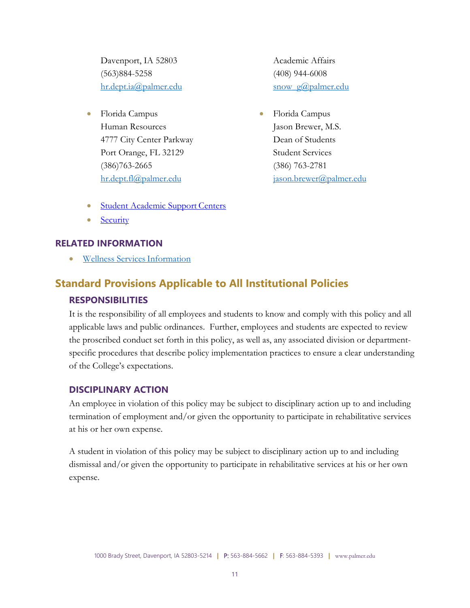Davenport, IA 52803 (563)884-5258 [hr.dept.ia@palmer.edu](mailto:hr.dept.ia@palmer.edu)

• Florida Campus Human Resources 4777 City Center Parkway Port Orange, FL 32129 (386)763-2665 [hr.dept.fl@palmer.edu](mailto:hr.dept.fl@palmer.edu)

Academic Affairs (408) 944-6008 snow g@palmer.edu

- Florida Campus Jason Brewer, M.S. Dean of Students Student Services (386) 763-2781 [jason.brewer@palmer.edu](mailto:jason.brewer@palmer.edu)
- **[Student Academic Support](http://www.palmer.edu/students/academic-success/academic-support-centers/) Centers**
- **[Security](http://www.palmer.edu/students/resources-offices/security/report-crime/)**

## **RELATED INFORMATION**

• [Wellness Services](https://www.palmer.edu/students/academic-success/wellness/) Information

# **Standard Provisions Applicable to All Institutional Policies RESPONSIBILITIES**

It is the responsibility of all employees and students to know and comply with this policy and all applicable laws and public ordinances. Further, employees and students are expected to review the proscribed conduct set forth in this policy, as well as, any associated division or departmentspecific procedures that describe policy implementation practices to ensure a clear understanding of the College's expectations.

## **DISCIPLINARY ACTION**

An employee in violation of this policy may be subject to disciplinary action up to and including termination of employment and/or given the opportunity to participate in rehabilitative services at his or her own expense.

A student in violation of this policy may be subject to disciplinary action up to and including dismissal and/or given the opportunity to participate in rehabilitative services at his or her own expense.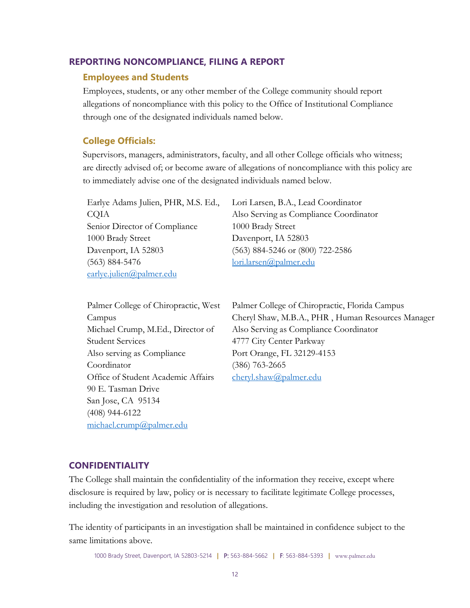#### **REPORTING NONCOMPLIANCE, FILING A REPORT**

#### **Employees and Students**

Employees, students, or any other member of the College community should report allegations of noncompliance with this policy to the Office of Institutional Compliance through one of the designated individuals named below.

#### **College Officials:**

Supervisors, managers, administrators, faculty, and all other College officials who witness; are directly advised of; or become aware of allegations of noncompliance with this policy are to immediately advise one of the designated individuals named below.

Earlye Adams Julien, PHR, M.S. Ed., CQIA Senior Director of Compliance 1000 Brady Street Davenport, IA 52803 (563) 884-5476 [earlye.julien@palmer.edu](mailto:earlye.julien@palmer.edu)

Lori Larsen, B.A., Lead Coordinator Also Serving as Compliance Coordinator 1000 Brady Street Davenport, IA 52803 (563) 884-5246 or (800) 722-2586 [lori.larsen@palmer.edu](mailto:lori.larsen@palmer.edu)

| Palmer College of Chiropractic, West |
|--------------------------------------|
| Campus                               |
| Michael Crump, M.Ed., Director of    |
| Student Services                     |
| Also serving as Compliance           |
| Coordinator                          |
| Office of Student Academic Affairs   |
| 90 E. Tasman Drive                   |
| San Jose, CA 95134                   |
| $(408)$ 944-6122                     |
| michael.crump@palmer.edu             |

Palmer College of Chiropractic, Florida Campus Cheryl Shaw, M.B.A., PHR , Human Resources Manager Also Serving as Compliance Coordinator 4777 City Center Parkway Port Orange, FL 32129-4153 (386) 763-2665 [cheryl.shaw@palmer.edu](mailto:cheryl.shaw@palmer.edu)

#### **CONFIDENTIALITY**

The College shall maintain the confidentiality of the information they receive, except where disclosure is required by law, policy or is necessary to facilitate legitimate College processes, including the investigation and resolution of allegations.

The identity of participants in an investigation shall be maintained in confidence subject to the same limitations above.

1000 Brady Street, Davenport, IA 52803-5214 **|** P: 563-884-5662 **|** F: 563-884-5393 **|** www.palmer.edu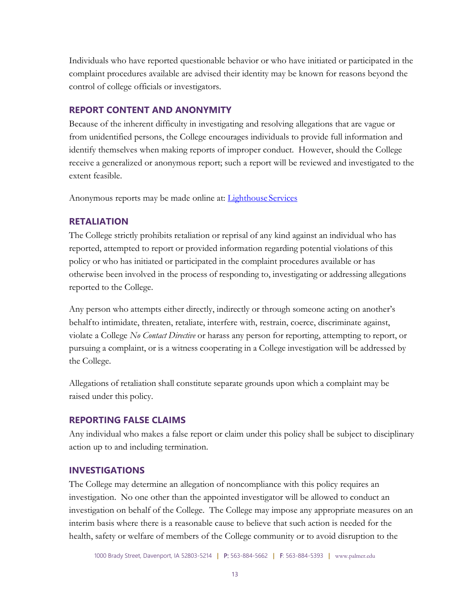Individuals who have reported questionable behavior or who have initiated or participated in the complaint procedures available are advised their identity may be known for reasons beyond the control of college officials or investigators.

#### **REPORT CONTENT AND ANONYMITY**

Because of the inherent difficulty in investigating and resolving allegations that are vague or from unidentified persons, the College encourages individuals to provide full information and identify themselves when making reports of improper conduct. However, should the College receive a generalized or anonymous report; such a report will be reviewed and investigated to the extent feasible.

Anonymous reports may be made online at: [Lighthouse](https://www.lighthouse-services.com/) Services

#### **RETALIATION**

The College strictly prohibits retaliation or reprisal of any kind against an individual who has reported, attempted to report or provided information regarding potential violations of this policy or who has initiated or participated in the complaint procedures available or has otherwise been involved in the process of responding to, investigating or addressing allegations reported to the College.

Any person who attempts either directly, indirectly or through someone acting on another's behalfto intimidate, threaten, retaliate, interfere with, restrain, coerce, discriminate against, violate a College *No Contact Directive* or harass any person for reporting, attempting to report, or pursuing a complaint, or is a witness cooperating in a College investigation will be addressed by the College.

Allegations of retaliation shall constitute separate grounds upon which a complaint may be raised under this policy.

## **REPORTING FALSE CLAIMS**

Any individual who makes a false report or claim under this policy shall be subject to disciplinary action up to and including termination.

## **INVESTIGATIONS**

The College may determine an allegation of noncompliance with this policy requires an investigation. No one other than the appointed investigator will be allowed to conduct an investigation on behalf of the College. The College may impose any appropriate measures on an interim basis where there is a reasonable cause to believe that such action is needed for the health, safety or welfare of members of the College community or to avoid disruption to the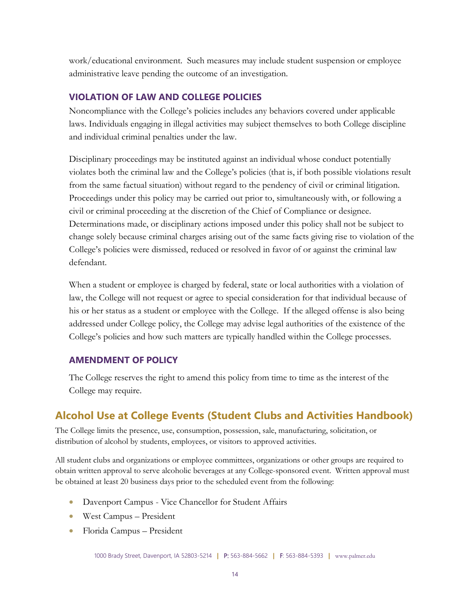work/educational environment. Such measures may include student suspension or employee administrative leave pending the outcome of an investigation.

#### **VIOLATION OF LAW AND COLLEGE POLICIES**

Noncompliance with the College's policies includes any behaviors covered under applicable laws. Individuals engaging in illegal activities may subject themselves to both College discipline and individual criminal penalties under the law.

Disciplinary proceedings may be instituted against an individual whose conduct potentially violates both the criminal law and the College's policies (that is, if both possible violations result from the same factual situation) without regard to the pendency of civil or criminal litigation. Proceedings under this policy may be carried out prior to, simultaneously with, or following a civil or criminal proceeding at the discretion of the Chief of Compliance or designee. Determinations made, or disciplinary actions imposed under this policy shall not be subject to change solely because criminal charges arising out of the same facts giving rise to violation of the College's policies were dismissed, reduced or resolved in favor of or against the criminal law defendant.

When a student or employee is charged by federal, state or local authorities with a violation of law, the College will not request or agree to special consideration for that individual because of his or her status as a student or employee with the College. If the alleged offense is also being addressed under College policy, the College may advise legal authorities of the existence of the College's policies and how such matters are typically handled within the College processes.

#### **AMENDMENT OF POLICY**

The College reserves the right to amend this policy from time to time as the interest of the College may require.

# **Alcohol Use at College Events (Student Clubs and Activities Handbook)**

The College limits the presence, use, consumption, possession, sale, manufacturing, solicitation, or distribution of alcohol by students, employees, or visitors to approved activities.

All student clubs and organizations or employee committees, organizations or other groups are required to obtain written approval to serve alcoholic beverages at any College-sponsored event. Written approval must be obtained at least 20 business days prior to the scheduled event from the following:

- Davenport Campus Vice Chancellor for Student Affairs
- West Campus President
- Florida Campus President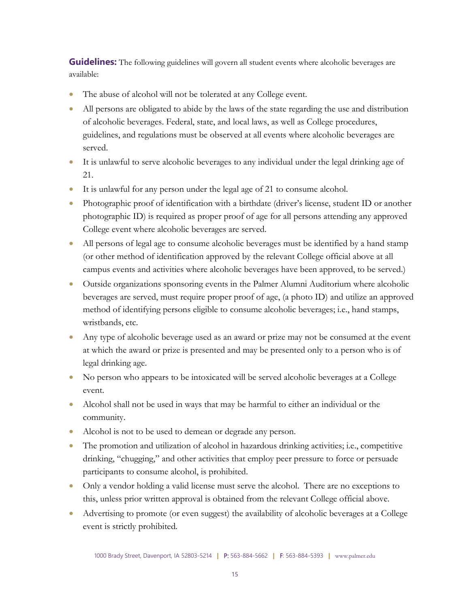**Guidelines:** The following guidelines will govern all student events where alcoholic beverages are available:

- The abuse of alcohol will not be tolerated at any College event.
- All persons are obligated to abide by the laws of the state regarding the use and distribution of alcoholic beverages. Federal, state, and local laws, as well as College procedures, guidelines, and regulations must be observed at all events where alcoholic beverages are served.
- It is unlawful to serve alcoholic beverages to any individual under the legal drinking age of 21.
- It is unlawful for any person under the legal age of 21 to consume alcohol.
- Photographic proof of identification with a birthdate (driver's license, student ID or another photographic ID) is required as proper proof of age for all persons attending any approved College event where alcoholic beverages are served.
- All persons of legal age to consume alcoholic beverages must be identified by a hand stamp (or other method of identification approved by the relevant College official above at all campus events and activities where alcoholic beverages have been approved, to be served.)
- Outside organizations sponsoring events in the Palmer Alumni Auditorium where alcoholic beverages are served, must require proper proof of age, (a photo ID) and utilize an approved method of identifying persons eligible to consume alcoholic beverages; i.e., hand stamps, wristbands, etc.
- Any type of alcoholic beverage used as an award or prize may not be consumed at the event at which the award or prize is presented and may be presented only to a person who is of legal drinking age.
- No person who appears to be intoxicated will be served alcoholic beverages at a College event.
- Alcohol shall not be used in ways that may be harmful to either an individual or the community.
- Alcohol is not to be used to demean or degrade any person.
- The promotion and utilization of alcohol in hazardous drinking activities; i.e., competitive drinking, "chugging," and other activities that employ peer pressure to force or persuade participants to consume alcohol, is prohibited.
- Only a vendor holding a valid license must serve the alcohol. There are no exceptions to this, unless prior written approval is obtained from the relevant College official above.
- Advertising to promote (or even suggest) the availability of alcoholic beverages at a College event is strictly prohibited.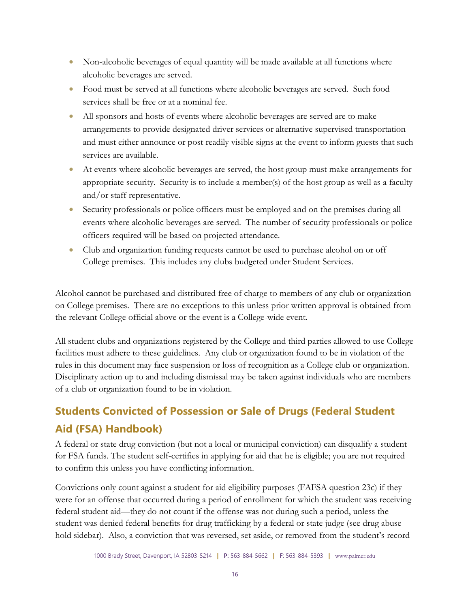- Non-alcoholic beverages of equal quantity will be made available at all functions where alcoholic beverages are served.
- Food must be served at all functions where alcoholic beverages are served. Such food services shall be free or at a nominal fee.
- All sponsors and hosts of events where alcoholic beverages are served are to make arrangements to provide designated driver services or alternative supervised transportation and must either announce or post readily visible signs at the event to inform guests that such services are available.
- At events where alcoholic beverages are served, the host group must make arrangements for appropriate security. Security is to include a member(s) of the host group as well as a faculty and/or staff representative.
- Security professionals or police officers must be employed and on the premises during all events where alcoholic beverages are served. The number of security professionals or police officers required will be based on projected attendance.
- Club and organization funding requests cannot be used to purchase alcohol on or off College premises. This includes any clubs budgeted under Student Services.

Alcohol cannot be purchased and distributed free of charge to members of any club or organization on College premises. There are no exceptions to this unless prior written approval is obtained from the relevant College official above or the event is a College-wide event.

All student clubs and organizations registered by the College and third parties allowed to use College facilities must adhere to these guidelines. Any club or organization found to be in violation of the rules in this document may face suspension or loss of recognition as a College club or organization. Disciplinary action up to and including dismissal may be taken against individuals who are members of a club or organization found to be in violation.

# **Students Convicted of Possession or Sale of Drugs (Federal Student Aid (FSA) Handbook)**

A federal or state drug conviction (but not a local or municipal conviction) can disqualify a student for FSA funds. The student self-certifies in applying for aid that he is eligible; you are not required to confirm this unless you have conflicting information.

Convictions only count against a student for aid eligibility purposes (FAFSA question 23c) if they were for an offense that occurred during a period of enrollment for which the student was receiving federal student aid—they do not count if the offense was not during such a period, unless the student was denied federal benefits for drug trafficking by a federal or state judge (see drug abuse hold sidebar). Also, a conviction that was reversed, set aside, or removed from the student's record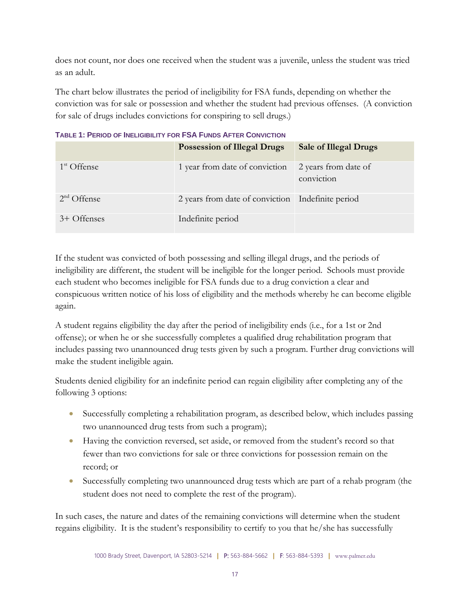does not count, nor does one received when the student was a juvenile, unless the student was tried as an adult.

The chart below illustrates the period of ineligibility for FSA funds, depending on whether the conviction was for sale or possession and whether the student had previous offenses. (A conviction for sale of drugs includes convictions for conspiring to sell drugs.)

|               | <b>Possession of Illegal Drugs</b>                  | <b>Sale of Illegal Drugs</b>       |
|---------------|-----------------------------------------------------|------------------------------------|
| $1st$ Offense | 1 year from date of conviction                      | 2 years from date of<br>conviction |
| $2nd$ Offense | 2 years from date of conviction   Indefinite period |                                    |
| 3+ Offenses   | Indefinite period                                   |                                    |

**TABLE 1: PERIOD OF INELIGIBILITY FOR FSA FUNDS AFTER CONVICTION**

If the student was convicted of both possessing and selling illegal drugs, and the periods of ineligibility are different, the student will be ineligible for the longer period. Schools must provide each student who becomes ineligible for FSA funds due to a drug conviction a clear and conspicuous written notice of his loss of eligibility and the methods whereby he can become eligible again.

A student regains eligibility the day after the period of ineligibility ends (i.e., for a 1st or 2nd offense); or when he or she successfully completes a qualified drug rehabilitation program that includes passing two unannounced drug tests given by such a program. Further drug convictions will make the student ineligible again.

Students denied eligibility for an indefinite period can regain eligibility after completing any of the following 3 options:

- Successfully completing a rehabilitation program, as described below, which includes passing two unannounced drug tests from such a program);
- Having the conviction reversed, set aside, or removed from the student's record so that fewer than two convictions for sale or three convictions for possession remain on the record; or
- Successfully completing two unannounced drug tests which are part of a rehab program (the student does not need to complete the rest of the program).

In such cases, the nature and dates of the remaining convictions will determine when the student regains eligibility. It is the student's responsibility to certify to you that he/she has successfully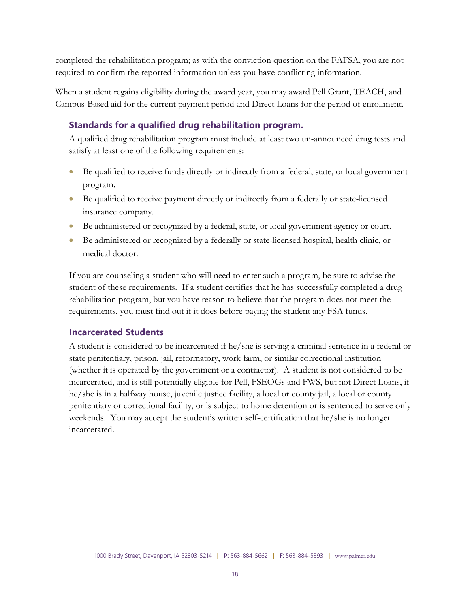completed the rehabilitation program; as with the conviction question on the FAFSA, you are not required to confirm the reported information unless you have conflicting information.

When a student regains eligibility during the award year, you may award Pell Grant, TEACH, and Campus-Based aid for the current payment period and Direct Loans for the period of enrollment.

## **Standards for a qualified drug rehabilitation program.**

A qualified drug rehabilitation program must include at least two un-announced drug tests and satisfy at least one of the following requirements:

- Be qualified to receive funds directly or indirectly from a federal, state, or local government program.
- Be qualified to receive payment directly or indirectly from a federally or state-licensed insurance company.
- Be administered or recognized by a federal, state, or local government agency or court.
- Be administered or recognized by a federally or state-licensed hospital, health clinic, or medical doctor.

If you are counseling a student who will need to enter such a program, be sure to advise the student of these requirements. If a student certifies that he has successfully completed a drug rehabilitation program, but you have reason to believe that the program does not meet the requirements, you must find out if it does before paying the student any FSA funds.

## **Incarcerated Students**

A student is considered to be incarcerated if he/she is serving a criminal sentence in a federal or state penitentiary, prison, jail, reformatory, work farm, or similar correctional institution (whether it is operated by the government or a contractor). A student is not considered to be incarcerated, and is still potentially eligible for Pell, FSEOGs and FWS, but not Direct Loans, if he/she is in a halfway house, juvenile justice facility, a local or county jail, a local or county penitentiary or correctional facility, or is subject to home detention or is sentenced to serve only weekends. You may accept the student's written self-certification that he/she is no longer incarcerated.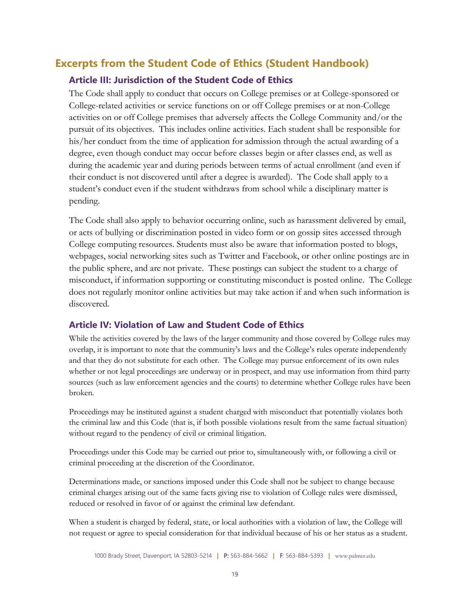# **Excerpts from the Student Code of Ethics (Student Handbook)**

## **Article III: Jurisdiction of the Student Code of Ethics**

The Code shall apply to conduct that occurs on College premises or at College-sponsored or College-related activities or service functions on or off College premises or at non-College activities on or off College premises that adversely affects the College Community and/or the pursuit of its objectives. This includes online activities. Each student shall be responsible for his/her conduct from the time of application for admission through the actual awarding of a degree, even though conduct may occur before classes begin or after classes end, as well as during the academic year and during periods between terms of actual enrollment (and even if their conduct is not discovered until after a degree is awarded). The Code shall apply to a student's conduct even if the student withdraws from school while a disciplinary matter is pending.

The Code shall also apply to behavior occurring online, such as harassment delivered by email, or acts of bullying or discrimination posted in video form or on gossip sites accessed through College computing resources. Students must also be aware that information posted to blogs, webpages, social networking sites such as Twitter and Facebook, or other online postings are in the public sphere, and are not private. These postings can subject the student to a charge of misconduct, if information supporting or constituting misconduct is posted online. The College does not regularly monitor online activities but may take action if and when such information is discovered.

## **Article IV: Violation of Law and Student Code of Ethics**

While the activities covered by the laws of the larger community and those covered by College rules may overlap, it is important to note that the community's laws and the College's rules operate independently and that they do not substitute for each other. The College may pursue enforcement of its own rules whether or not legal proceedings are underway or in prospect, and may use information from third party sources (such as law enforcement agencies and the courts) to determine whether College rules have been broken.

Proceedings may be instituted against a student charged with misconduct that potentially violates both the criminal law and this Code (that is, if both possible violations result from the same factual situation) without regard to the pendency of civil or criminal litigation.

Proceedings under this Code may be carried out prior to, simultaneously with, or following a civil or criminal proceeding at the discretion of the Coordinator.

Determinations made, or sanctions imposed under this Code shall not be subject to change because criminal charges arising out of the same facts giving rise to violation of College rules were dismissed, reduced or resolved in favor of or against the criminal law defendant.

When a student is charged by federal, state, or local authorities with a violation of law, the College will not request or agree to special consideration for that individual because of his or her status as a student.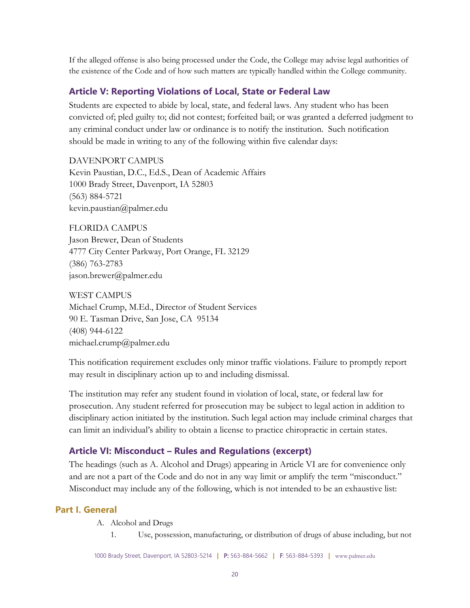If the alleged offense is also being processed under the Code, the College may advise legal authorities of the existence of the Code and of how such matters are typically handled within the College community.

## **Article V: Reporting Violations of Local, State or Federal Law**

Students are expected to abide by local, state, and federal laws. Any student who has been convicted of; pled guilty to; did not contest; forfeited bail; or was granted a deferred judgment to any criminal conduct under law or ordinance is to notify the institution. Such notification should be made in writing to any of the following within five calendar days:

DAVENPORT CAMPUS Kevin Paustian, D.C., Ed.S., Dean of Academic Affairs 1000 Brady Street, Davenport, IA 52803 (563) 884-5721 kevin.paustian@palmer.edu

FLORIDA CAMPUS Jason Brewer, Dean of Students 4777 City Center Parkway, Port Orange, FL 32129 (386) 763-2783 jason.brewer@palmer.edu

WEST CAMPUS Michael Crump, M.Ed., Director of Student Services 90 E. Tasman Drive, San Jose, CA 95134 (408) 944-6122 michael.crump@palmer.edu

This notification requirement excludes only minor traffic violations. Failure to promptly report may result in disciplinary action up to and including dismissal.

The institution may refer any student found in violation of local, state, or federal law for prosecution. Any student referred for prosecution may be subject to legal action in addition to disciplinary action initiated by the institution. Such legal action may include criminal charges that can limit an individual's ability to obtain a license to practice chiropractic in certain states.

## **Article VI: Misconduct – Rules and Regulations (excerpt)**

The headings (such as A. Alcohol and Drugs) appearing in Article VI are for convenience only and are not a part of the Code and do not in any way limit or amplify the term "misconduct." Misconduct may include any of the following, which is not intended to be an exhaustive list:

## **Part I. General**

- A. Alcohol and Drugs
	- 1. Use, possession, manufacturing, or distribution of drugs of abuse including, but not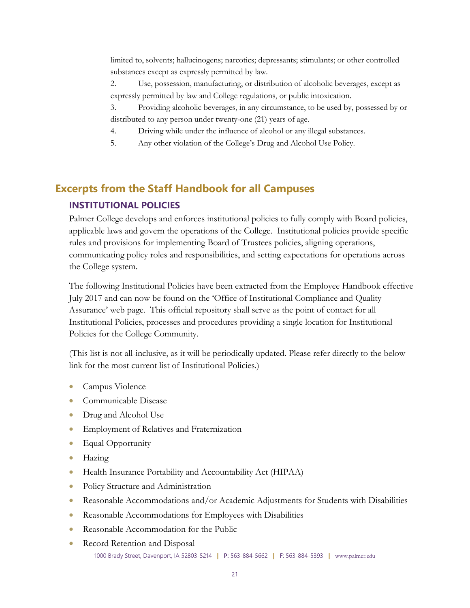limited to, solvents; hallucinogens; narcotics; depressants; stimulants; or other controlled substances except as expressly permitted by law.

2. Use, possession, manufacturing, or distribution of alcoholic beverages, except as expressly permitted by law and College regulations, or public intoxication.

3. Providing alcoholic beverages, in any circumstance, to be used by, possessed by or distributed to any person under twenty-one (21) years of age.

- 4. Driving while under the influence of alcohol or any illegal substances.
- 5. Any other violation of the College's Drug and Alcohol Use Policy.

# **Excerpts from the Staff Handbook for all Campuses**

## **INSTITUTIONAL POLICIES**

Palmer College develops and enforces institutional policies to fully comply with Board policies, applicable laws and govern the operations of the College. Institutional policies provide specific rules and provisions for implementing Board of Trustees policies, aligning operations, communicating policy roles and responsibilities, and setting expectations for operations across the College system.

The following Institutional Policies have been extracted from the Employee Handbook effective July 2017 and can now be found on the 'Office of Institutional Compliance and Quality Assurance' web page. This official repository shall serve as the point of contact for all Institutional Policies, processes and procedures providing a single location for Institutional Policies for the College Community.

(This list is not all-inclusive, as it will be periodically updated. Please refer directly to the below link for the most current list of Institutional Policies.)

- Campus Violence
- Communicable Disease
- Drug and Alcohol Use
- Employment of Relatives and Fraternization
- Equal Opportunity
- Hazing
- Health Insurance Portability and Accountability Act (HIPAA)
- Policy Structure and Administration
- Reasonable Accommodations and/or Academic Adjustments for Students with Disabilities
- Reasonable Accommodations for Employees with Disabilities
- Reasonable Accommodation for the Public
- 1000 Brady Street, Davenport, IA 52803-5214 **|** P: 563-884-5662 **|** F: 563-884-5393 **|** www.palmer.edu • Record Retention and Disposal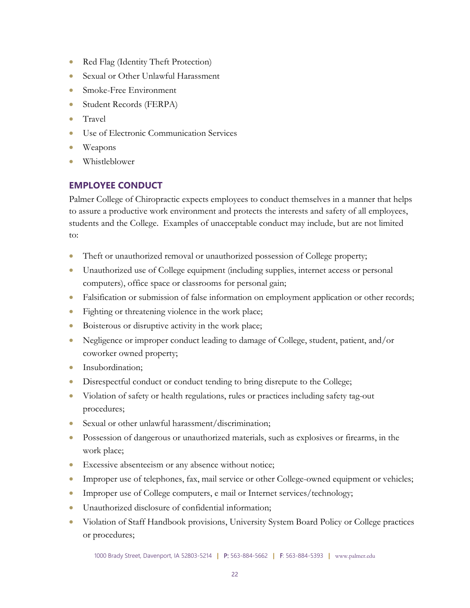- Red Flag (Identity Theft Protection)
- Sexual or Other Unlawful Harassment
- Smoke-Free Environment
- Student Records (FERPA)
- Travel
- Use of Electronic Communication Services
- Weapons
- Whistleblower

## **EMPLOYEE CONDUCT**

Palmer College of Chiropractic expects employees to conduct themselves in a manner that helps to assure a productive work environment and protects the interests and safety of all employees, students and the College. Examples of unacceptable conduct may include, but are not limited to:

- Theft or unauthorized removal or unauthorized possession of College property;
- Unauthorized use of College equipment (including supplies, internet access or personal computers), office space or classrooms for personal gain;
- Falsification or submission of false information on employment application or other records;
- Fighting or threatening violence in the work place;
- Boisterous or disruptive activity in the work place;
- Negligence or improper conduct leading to damage of College, student, patient, and/or coworker owned property;
- Insubordination;
- Disrespectful conduct or conduct tending to bring disrepute to the College;
- Violation of safety or health regulations, rules or practices including safety tag-out procedures;
- Sexual or other unlawful harassment/discrimination;
- Possession of dangerous or unauthorized materials, such as explosives or firearms, in the work place;
- Excessive absenteeism or any absence without notice;
- Improper use of telephones, fax, mail service or other College-owned equipment or vehicles;
- Improper use of College computers, e mail or Internet services/technology;
- Unauthorized disclosure of confidential information;
- Violation of Staff Handbook provisions, University System Board Policy or College practices or procedures;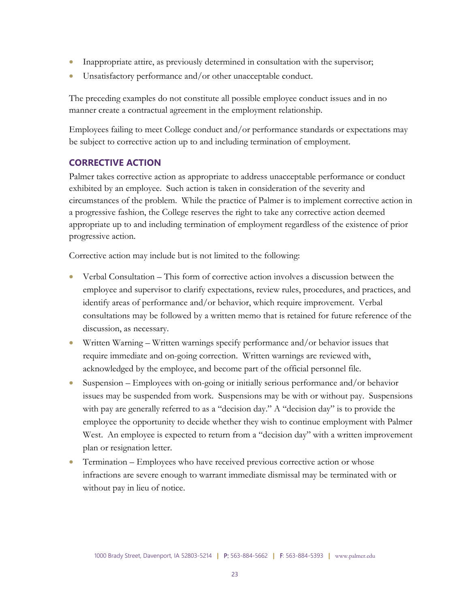- Inappropriate attire, as previously determined in consultation with the supervisor;
- Unsatisfactory performance and/or other unacceptable conduct.

The preceding examples do not constitute all possible employee conduct issues and in no manner create a contractual agreement in the employment relationship.

Employees failing to meet College conduct and/or performance standards or expectations may be subject to corrective action up to and including termination of employment.

## **CORRECTIVE ACTION**

Palmer takes corrective action as appropriate to address unacceptable performance or conduct exhibited by an employee. Such action is taken in consideration of the severity and circumstances of the problem. While the practice of Palmer is to implement corrective action in a progressive fashion, the College reserves the right to take any corrective action deemed appropriate up to and including termination of employment regardless of the existence of prior progressive action.

Corrective action may include but is not limited to the following:

- Verbal Consultation This form of corrective action involves a discussion between the employee and supervisor to clarify expectations, review rules, procedures, and practices, and identify areas of performance and/or behavior, which require improvement. Verbal consultations may be followed by a written memo that is retained for future reference of the discussion, as necessary.
- Written Warning Written warnings specify performance and/or behavior issues that require immediate and on-going correction. Written warnings are reviewed with, acknowledged by the employee, and become part of the official personnel file.
- Suspension Employees with on-going or initially serious performance and/or behavior issues may be suspended from work. Suspensions may be with or without pay. Suspensions with pay are generally referred to as a "decision day." A "decision day" is to provide the employee the opportunity to decide whether they wish to continue employment with Palmer West. An employee is expected to return from a "decision day" with a written improvement plan or resignation letter.
- Termination Employees who have received previous corrective action or whose infractions are severe enough to warrant immediate dismissal may be terminated with or without pay in lieu of notice.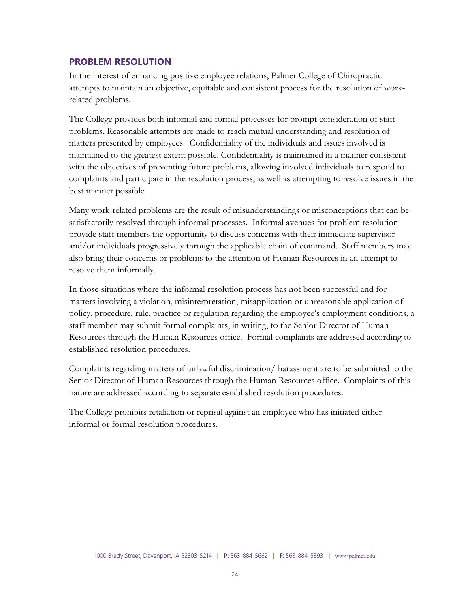#### **PROBLEM RESOLUTION**

In the interest of enhancing positive employee relations, Palmer College of Chiropractic attempts to maintain an objective, equitable and consistent process for the resolution of workrelated problems.

The College provides both informal and formal processes for prompt consideration of staff problems. Reasonable attempts are made to reach mutual understanding and resolution of matters presented by employees. Confidentiality of the individuals and issues involved is maintained to the greatest extent possible. Confidentiality is maintained in a manner consistent with the objectives of preventing future problems, allowing involved individuals to respond to complaints and participate in the resolution process, as well as attempting to resolve issues in the best manner possible.

Many work-related problems are the result of misunderstandings or misconceptions that can be satisfactorily resolved through informal processes. Informal avenues for problem resolution provide staff members the opportunity to discuss concerns with their immediate supervisor and/or individuals progressively through the applicable chain of command. Staff members may also bring their concerns or problems to the attention of Human Resources in an attempt to resolve them informally.

In those situations where the informal resolution process has not been successful and for matters involving a violation, misinterpretation, misapplication or unreasonable application of policy, procedure, rule, practice or regulation regarding the employee's employment conditions, a staff member may submit formal complaints, in writing, to the Senior Director of Human Resources through the Human Resources office. Formal complaints are addressed according to established resolution procedures.

Complaints regarding matters of unlawful discrimination/ harassment are to be submitted to the Senior Director of Human Resources through the Human Resources office. Complaints of this nature are addressed according to separate established resolution procedures.

The College prohibits retaliation or reprisal against an employee who has initiated either informal or formal resolution procedures.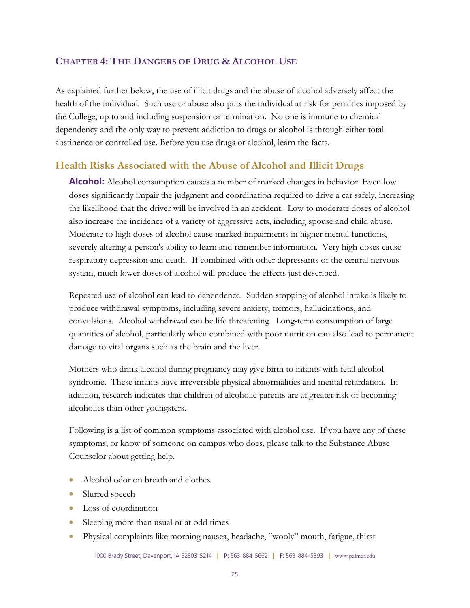## <span id="page-24-0"></span>**CHAPTER 4: THE DANGERS OF DRUG & ALCOHOL USE**

As explained further below, the use of illicit drugs and the abuse of alcohol adversely affect the health of the individual. Such use or abuse also puts the individual at risk for penalties imposed by the College, up to and including suspension or termination. No one is immune to chemical dependency and the only way to prevent addiction to drugs or alcohol is through either total abstinence or controlled use. Before you use drugs or alcohol, learn the facts.

## **Health Risks Associated with the Abuse of Alcohol and Illicit Drugs**

**Alcohol:** Alcohol consumption causes a number of marked changes in behavior. Even low doses significantly impair the judgment and coordination required to drive a car safely, increasing the likelihood that the driver will be involved in an accident. Low to moderate doses of alcohol also increase the incidence of a variety of aggressive acts, including spouse and child abuse. Moderate to high doses of alcohol cause marked impairments in higher mental functions, severely altering a person's ability to learn and remember information. Very high doses cause respiratory depression and death. If combined with other depressants of the central nervous system, much lower doses of alcohol will produce the effects just described.

Repeated use of alcohol can lead to dependence. Sudden stopping of alcohol intake is likely to produce withdrawal symptoms, including severe anxiety, tremors, hallucinations, and convulsions. Alcohol withdrawal can be life threatening. Long-term consumption of large quantities of alcohol, particularly when combined with poor nutrition can also lead to permanent damage to vital organs such as the brain and the liver.

Mothers who drink alcohol during pregnancy may give birth to infants with fetal alcohol syndrome. These infants have irreversible physical abnormalities and mental retardation. In addition, research indicates that children of alcoholic parents are at greater risk of becoming alcoholics than other youngsters.

Following is a list of common symptoms associated with alcohol use. If you have any of these symptoms, or know of someone on campus who does, please talk to the Substance Abuse Counselor about getting help.

- Alcohol odor on breath and clothes
- Slurred speech
- Loss of coordination
- Sleeping more than usual or at odd times
- Physical complaints like morning nausea, headache, "wooly" mouth, fatigue, thirst

1000 Brady Street, Davenport, IA 52803-5214 **|** P: 563-884-5662 **|** F: 563-884-5393 **|** www.palmer.edu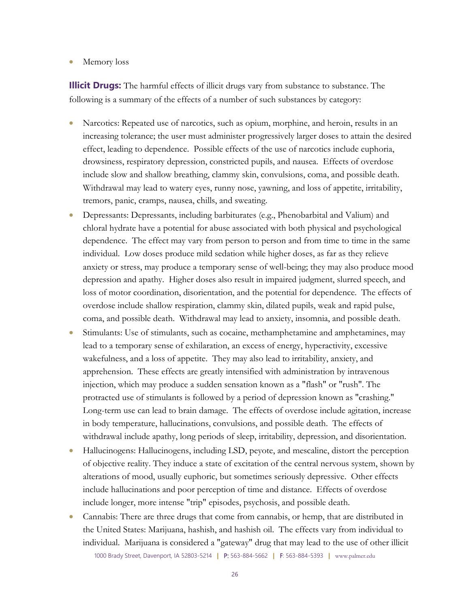• Memory loss

**Illicit Drugs:** The harmful effects of illicit drugs vary from substance to substance. The following is a summary of the effects of a number of such substances by category:

- Narcotics: Repeated use of narcotics, such as opium, morphine, and heroin, results in an increasing tolerance; the user must administer progressively larger doses to attain the desired effect, leading to dependence. Possible effects of the use of narcotics include euphoria, drowsiness, respiratory depression, constricted pupils, and nausea. Effects of overdose include slow and shallow breathing, clammy skin, convulsions, coma, and possible death. Withdrawal may lead to watery eyes, runny nose, yawning, and loss of appetite, irritability, tremors, panic, cramps, nausea, chills, and sweating.
- Depressants: Depressants, including barbiturates (e.g., Phenobarbital and Valium) and chloral hydrate have a potential for abuse associated with both physical and psychological dependence. The effect may vary from person to person and from time to time in the same individual. Low doses produce mild sedation while higher doses, as far as they relieve anxiety or stress, may produce a temporary sense of well-being; they may also produce mood depression and apathy. Higher doses also result in impaired judgment, slurred speech, and loss of motor coordination, disorientation, and the potential for dependence. The effects of overdose include shallow respiration, clammy skin, dilated pupils, weak and rapid pulse, coma, and possible death. Withdrawal may lead to anxiety, insomnia, and possible death.
- Stimulants: Use of stimulants, such as cocaine, methamphetamine and amphetamines, may lead to a temporary sense of exhilaration, an excess of energy, hyperactivity, excessive wakefulness, and a loss of appetite. They may also lead to irritability, anxiety, and apprehension. These effects are greatly intensified with administration by intravenous injection, which may produce a sudden sensation known as a "flash" or "rush". The protracted use of stimulants is followed by a period of depression known as "crashing." Long-term use can lead to brain damage. The effects of overdose include agitation, increase in body temperature, hallucinations, convulsions, and possible death. The effects of withdrawal include apathy, long periods of sleep, irritability, depression, and disorientation.
- Hallucinogens: Hallucinogens, including LSD, peyote, and mescaline, distort the perception of objective reality. They induce a state of excitation of the central nervous system, shown by alterations of mood, usually euphoric, but sometimes seriously depressive. Other effects include hallucinations and poor perception of time and distance. Effects of overdose include longer, more intense "trip" episodes, psychosis, and possible death.
- 1000 Brady Street, Davenport, IA 52803-5214 **|** P: 563-884-5662 **|** F: 563-884-5393 **|** www.palmer.edu • Cannabis: There are three drugs that come from cannabis, or hemp, that are distributed in the United States: Marijuana, hashish, and hashish oil. The effects vary from individual to individual. Marijuana is considered a "gateway" drug that may lead to the use of other illicit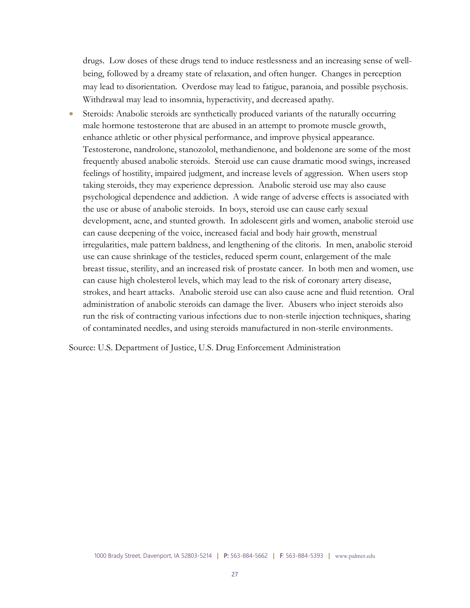drugs. Low doses of these drugs tend to induce restlessness and an increasing sense of wellbeing, followed by a dreamy state of relaxation, and often hunger. Changes in perception may lead to disorientation. Overdose may lead to fatigue, paranoia, and possible psychosis. Withdrawal may lead to insomnia, hyperactivity, and decreased apathy.

Steroids: Anabolic steroids are synthetically produced variants of the naturally occurring male hormone testosterone that are abused in an attempt to promote muscle growth, enhance athletic or other physical performance, and improve physical appearance. Testosterone, nandrolone, stanozolol, methandienone, and boldenone are some of the most frequently abused anabolic steroids. Steroid use can cause dramatic mood swings, increased feelings of hostility, impaired judgment, and increase levels of aggression. When users stop taking steroids, they may experience depression. Anabolic steroid use may also cause psychological dependence and addiction. A wide range of adverse effects is associated with the use or abuse of anabolic steroids. In boys, steroid use can cause early sexual development, acne, and stunted growth. In adolescent girls and women, anabolic steroid use can cause deepening of the voice, increased facial and body hair growth, menstrual irregularities, male pattern baldness, and lengthening of the clitoris. In men, anabolic steroid use can cause shrinkage of the testicles, reduced sperm count, enlargement of the male breast tissue, sterility, and an increased risk of prostate cancer. In both men and women, use can cause high cholesterol levels, which may lead to the risk of coronary artery disease, strokes, and heart attacks. Anabolic steroid use can also cause acne and fluid retention. Oral administration of anabolic steroids can damage the liver. Abusers who inject steroids also run the risk of contracting various infections due to non-sterile injection techniques, sharing of contaminated needles, and using steroids manufactured in non-sterile environments.

Source: U.S. Department of Justice, U.S. Drug Enforcement Administration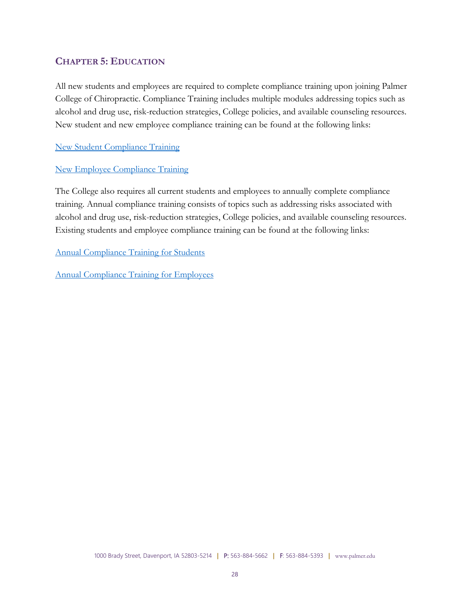## <span id="page-27-0"></span>**CHAPTER 5: EDUCATION**

All new students and employees are required to complete compliance training upon joining Palmer College of Chiropractic. Compliance Training includes multiple modules addressing topics such as alcohol and drug use, risk-reduction strategies, College policies, and available counseling resources. New student and new employee compliance training can be found at the following links:

[New Student Compliance Training](http://www.palmer.edu/uploadedFiles/Pages/Students/Orientation/student-orientation-training-all-campuses.pdf)

#### [New Employee Compliance Training](https://palmercc.safecolleges.com/login)

The College also requires all current students and employees to annually complete compliance training. Annual compliance training consists of topics such as addressing risks associated with alcohol and drug use, risk-reduction strategies, College policies, and available counseling resources. Existing students and employee compliance training can be found at the following links:

[Annual Compliance Training for Students](https://palmerccstudents.safecolleges.com/login)

[Annual Compliance Training for Employees](https://palmercc.safecolleges.com/login)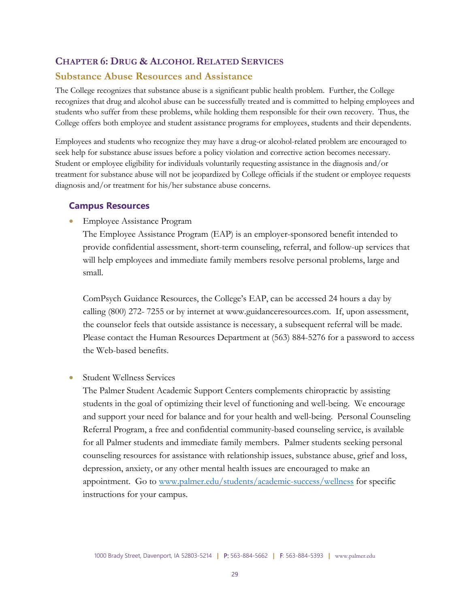#### <span id="page-28-0"></span>**CHAPTER 6: DRUG & ALCOHOL RELATED SERVICES**

#### **Substance Abuse Resources and Assistance**

The College recognizes that substance abuse is a significant public health problem. Further, the College recognizes that drug and alcohol abuse can be successfully treated and is committed to helping employees and students who suffer from these problems, while holding them responsible for their own recovery. Thus, the College offers both employee and student assistance programs for employees, students and their dependents.

Employees and students who recognize they may have a drug-or alcohol-related problem are encouraged to seek help for substance abuse issues before a policy violation and corrective action becomes necessary. Student or employee eligibility for individuals voluntarily requesting assistance in the diagnosis and/or treatment for substance abuse will not be jeopardized by College officials if the student or employee requests diagnosis and/or treatment for his/her substance abuse concerns.

#### **Campus Resources**

• Employee Assistance Program

The Employee Assistance Program (EAP) is an employer-sponsored benefit intended to provide confidential assessment, short-term counseling, referral, and follow-up services that will help employees and immediate family members resolve personal problems, large and small.

ComPsych Guidance Resources, the College's EAP, can be accessed 24 hours a day by calling (800) 272- 7255 or by internet at www.guidanceresources.com. If, upon assessment, the counselor feels that outside assistance is necessary, a subsequent referral will be made. Please contact the Human Resources Department at (563) 884-5276 for a password to access the Web-based benefits.

• Student Wellness Services

The Palmer Student Academic Support Centers complements chiropractic by assisting students in the goal of optimizing their level of functioning and well-being. We encourage and support your need for balance and for your health and well-being. Personal Counseling Referral Program, a free and confidential community-based counseling service, is available for all Palmer students and immediate family members. Palmer students seeking personal counseling resources for assistance with relationship issues, substance abuse, grief and loss, depression, anxiety, or any other mental health issues are encouraged to make an appointment. Go to [www.palmer.edu/students/academic-success/wellness](http://www.palmer.edu/students/academic-success/wellness) for specific instructions for your campus.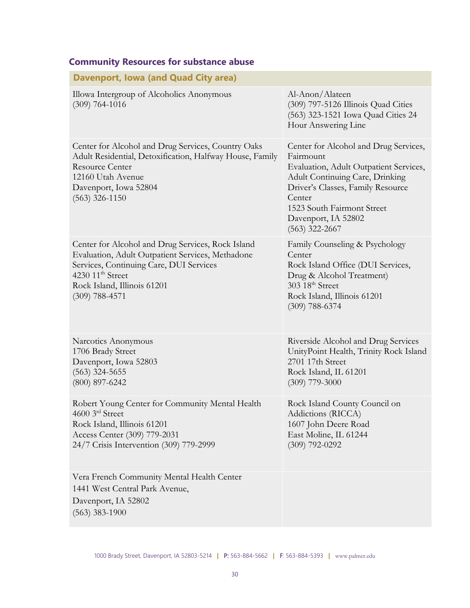| Davenport, Iowa (and Quad City area)                                                                                                                                                                                                |                                                                                                                                                                                                                                                         |
|-------------------------------------------------------------------------------------------------------------------------------------------------------------------------------------------------------------------------------------|---------------------------------------------------------------------------------------------------------------------------------------------------------------------------------------------------------------------------------------------------------|
| Illowa Intergroup of Alcoholics Anonymous<br>$(309)$ 764-1016                                                                                                                                                                       | Al-Anon/Alateen<br>(309) 797-5126 Illinois Quad Cities<br>(563) 323-1521 Iowa Quad Cities 24<br>Hour Answering Line                                                                                                                                     |
| Center for Alcohol and Drug Services, Country Oaks<br>Adult Residential, Detoxification, Halfway House, Family<br><b>Resource Center</b><br>12160 Utah Avenue<br>Davenport, Iowa 52804<br>$(563)$ 326-1150                          | Center for Alcohol and Drug Services,<br>Fairmount<br>Evaluation, Adult Outpatient Services,<br>Adult Continuing Care, Drinking<br>Driver's Classes, Family Resource<br>Center<br>1523 South Fairmont Street<br>Davenport, IA 52802<br>$(563)$ 322-2667 |
| Center for Alcohol and Drug Services, Rock Island<br>Evaluation, Adult Outpatient Services, Methadone<br>Services, Continuing Care, DUI Services<br>4230 11 <sup>th</sup> Street<br>Rock Island, Illinois 61201<br>$(309)$ 788-4571 | Family Counseling & Psychology<br>Center<br>Rock Island Office (DUI Services,<br>Drug & Alcohol Treatment)<br>303 18 <sup>th</sup> Street<br>Rock Island, Illinois 61201<br>$(309)$ 788-6374                                                            |
| Narcotics Anonymous<br>1706 Brady Street<br>Davenport, Iowa 52803<br>$(563)$ 324-5655<br>$(800)$ 897-6242                                                                                                                           | Riverside Alcohol and Drug Services<br>UnityPoint Health, Trinity Rock Island<br>2701 17th Street<br>Rock Island, IL 61201<br>$(309)$ 779-3000                                                                                                          |
| Robert Young Center for Community Mental Health<br>4600 3rd Street<br>Rock Island, Illinois 61201<br>Access Center (309) 779-2031<br>24/7 Crisis Intervention (309) 779-2999                                                        | Rock Island County Council on<br>Addictions (RICCA)<br>1607 John Deere Road<br>East Moline, IL 61244<br>$(309)$ 792-0292                                                                                                                                |
| Vera French Community Mental Health Center<br>1441 West Central Park Avenue,<br>Davenport, IA 52802<br>$(563)$ 383-1900                                                                                                             |                                                                                                                                                                                                                                                         |

# **Community Resources for substance abuse**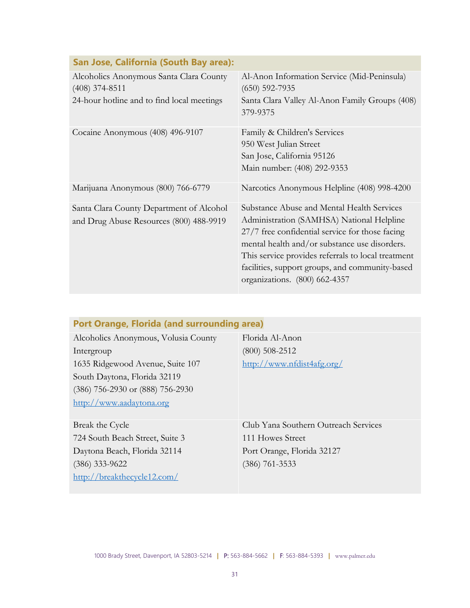| <u>san sose, cambinia (soath bay arca).</u>                                                               |                                                                                                                                                                                                                                                                                                                                       |
|-----------------------------------------------------------------------------------------------------------|---------------------------------------------------------------------------------------------------------------------------------------------------------------------------------------------------------------------------------------------------------------------------------------------------------------------------------------|
| Alcoholics Anonymous Santa Clara County<br>$(408)$ 374-8511<br>24-hour hotline and to find local meetings | Al-Anon Information Service (Mid-Peninsula)<br>$(650)$ 592-7935<br>Santa Clara Valley Al-Anon Family Groups (408)<br>379-9375                                                                                                                                                                                                         |
| Cocaine Anonymous (408) 496-9107                                                                          | Family & Children's Services<br>950 West Julian Street<br>San Jose, California 95126<br>Main number: (408) 292-9353                                                                                                                                                                                                                   |
| Marijuana Anonymous (800) 766-6779                                                                        | Narcotics Anonymous Helpline (408) 998-4200                                                                                                                                                                                                                                                                                           |
| Santa Clara County Department of Alcohol<br>and Drug Abuse Resources (800) 488-9919                       | Substance Abuse and Mental Health Services<br>Administration (SAMHSA) National Helpline<br>27/7 free confidential service for those facing<br>mental health and/or substance use disorders.<br>This service provides referrals to local treatment<br>facilities, support groups, and community-based<br>organizations. (800) 662-4357 |

# **San Jose, California (South Bay area):**

## **Port Orange, Florida (and surrounding area)**

Alcoholics Anonymous, Volusia County Intergroup 1635 Ridgewood Avenue, Suite 107 South Daytona, Florida 32119 (386) 756-2930 or (888) 756-2930 [http://www.aadaytona.org](http://www.aadaytona.org/)

Break the Cycle 724 South Beach Street, Suite 3 Daytona Beach, Florida 32114 (386) 333-9622 <http://breakthecycle12.com/>

Florida Al-Anon (800) 508-2512 <http://www.nfdist4afg.org/>

Club Yana Southern Outreach Services 111 Howes Street Port Orange, Florida 32127 (386) 761-3533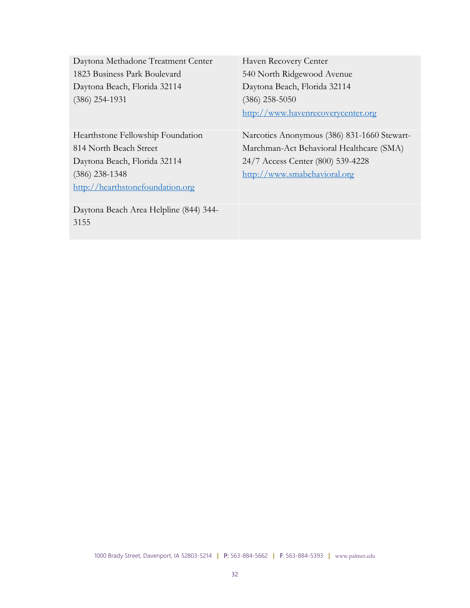| Daytona Methadone Treatment Center     | Haven Recovery Center                       |
|----------------------------------------|---------------------------------------------|
| 1823 Business Park Boulevard           | 540 North Ridgewood Avenue                  |
| Daytona Beach, Florida 32114           | Daytona Beach, Florida 32114                |
| $(386)$ 254-1931                       | $(386)$ 258-5050                            |
|                                        | http://www.havenrecoverycenter.org          |
|                                        |                                             |
| Hearthstone Fellowship Foundation      | Narcotics Anonymous (386) 831-1660 Stewart- |
| 814 North Beach Street                 | Marchman-Act Behavioral Healthcare (SMA)    |
| Daytona Beach, Florida 32114           | 24/7 Access Center (800) 539-4228           |
| $(386)$ 238-1348                       | http://www.smabehavioral.org                |
| http://hearthstonefoundation.org       |                                             |
|                                        |                                             |
| Daytona Beach Area Helpline (844) 344- |                                             |
| 3155                                   |                                             |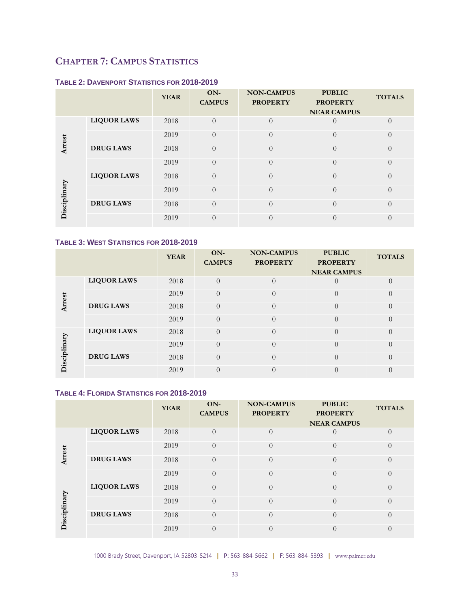# <span id="page-32-0"></span>**CHAPTER 7: CAMPUS STATISTICS**

#### **TABLE 2: DAVENPORT STATISTICS FOR 2018-2019**

|              |                    | <b>YEAR</b> | ON-<br><b>CAMPUS</b> | <b>NON-CAMPUS</b><br><b>PROPERTY</b> | <b>PUBLIC</b><br><b>PROPERTY</b><br><b>NEAR CAMPUS</b> | <b>TOTALS</b> |
|--------------|--------------------|-------------|----------------------|--------------------------------------|--------------------------------------------------------|---------------|
|              | <b>LIQUOR LAWS</b> | 2018        | $\Omega$             | $\Omega$                             |                                                        | $\Omega$      |
| Arrest       |                    | 2019        | $\theta$             | $\Omega$                             | $\theta$                                               | $\theta$      |
|              | <b>DRUG LAWS</b>   | 2018        | $\Omega$             | $\theta$                             | $\theta$                                               | $\Omega$      |
|              |                    | 2019        | $\Omega$             | $\Omega$                             | $\theta$                                               | $\Omega$      |
|              | <b>LIQUOR LAWS</b> | 2018        | $\Omega$             | $\Omega$                             | $\theta$                                               | $\Omega$      |
| Disciplinary |                    | 2019        | $\Omega$             | $\theta$                             | $\theta$                                               | $\Omega$      |
|              | <b>DRUG LAWS</b>   | 2018        | $\Omega$             | $\theta$                             | $\theta$                                               | $\Omega$      |
|              |                    | 2019        | $\Omega$             | $\Omega$                             | $\theta$                                               | $\Omega$      |

#### **TABLE 3: WEST STATISTICS FOR 2018-2019**

|               |                    | <b>YEAR</b> | ON-<br><b>CAMPUS</b> | <b>NON-CAMPUS</b><br><b>PROPERTY</b> | <b>PUBLIC</b><br><b>PROPERTY</b><br><b>NEAR CAMPUS</b> | <b>TOTALS</b>    |
|---------------|--------------------|-------------|----------------------|--------------------------------------|--------------------------------------------------------|------------------|
|               | <b>LIQUOR LAWS</b> | 2018        | $\Omega$             | $\Omega$                             |                                                        |                  |
| <b>hrrest</b> |                    | 2019        | $\theta$             | $\Omega$                             | $\theta$                                               | $\theta$         |
|               | <b>DRUG LAWS</b>   | 2018        | $\Omega$             | $\theta$                             | $\Omega$                                               | $\Omega$         |
|               |                    | 2019        | $\theta$             | $\theta$                             | $\theta$                                               | $\theta$         |
|               | <b>LIQUOR LAWS</b> | 2018        | $\overline{0}$       | $\theta$                             | $\theta$                                               | $\left( \right)$ |
|               |                    | 2019        | $\theta$             | $\theta$                             | $\Omega$                                               | $\theta$         |
| Disciplinary  | <b>DRUG LAWS</b>   | 2018        | $\Omega$             | $\Omega$                             | $\Omega$                                               | $\Omega$         |
|               |                    | 2019        | $\theta$             | $\theta$                             | $\Omega$                                               |                  |

#### **TABLE 4: FLORIDA STATISTICS FOR 2018-2019**

|              |                    | <b>YEAR</b> | ON-<br><b>CAMPUS</b> | <b>NON-CAMPUS</b><br><b>PROPERTY</b> | <b>PUBLIC</b><br><b>PROPERTY</b> | <b>TOTALS</b>  |
|--------------|--------------------|-------------|----------------------|--------------------------------------|----------------------------------|----------------|
|              |                    |             |                      |                                      | <b>NEAR CAMPUS</b>               |                |
|              | <b>LIQUOR LAWS</b> | 2018        | $\Omega$             | $\Omega$                             | $\left( \right)$                 | $\theta$       |
| Arrest       |                    | 2019        | $\Omega$             | $\Omega$                             | $\theta$                         | $\Omega$       |
|              | <b>DRUG LAWS</b>   | 2018        | $\Omega$             | $\Omega$                             | $\theta$                         | $\theta$       |
|              |                    | 2019        | $\Omega$             | $\Omega$                             | $\theta$                         | $\overline{0}$ |
|              | <b>LIQUOR LAWS</b> | 2018        | $\Omega$             | $\Omega$                             | $\theta$                         | $\theta$       |
| Disciplinary |                    | 2019        | $\Omega$             | $\Omega$                             | $\theta$                         | $\Omega$       |
|              | <b>DRUG LAWS</b>   | 2018        | $\Omega$             | $\Omega$                             | $\theta$                         | $\Omega$       |
|              |                    | 2019        | $\theta$             | $\Omega$                             | $\theta$                         | $\theta$       |

1000 Brady Street, Davenport, IA 52803-5214 **|** P: 563-884-5662 **|** F: 563-884-5393 **|** www.palmer.edu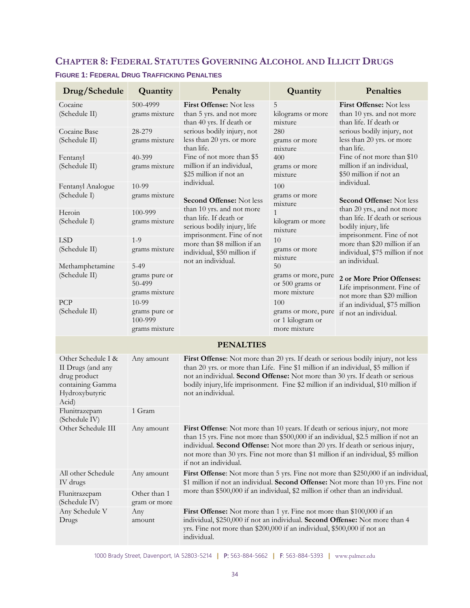# <span id="page-33-0"></span>**CHAPTER 8: FEDERAL STATUTES GOVERNING ALCOHOL AND ILLICIT DRUGS**

| Drug/Schedule                                                                                          | Quantity                                           | Penalty                                                                                                                                                                                                                                                                                                                                                             | Quantity                                                       | Penalties                                                                                                                                                              |  |
|--------------------------------------------------------------------------------------------------------|----------------------------------------------------|---------------------------------------------------------------------------------------------------------------------------------------------------------------------------------------------------------------------------------------------------------------------------------------------------------------------------------------------------------------------|----------------------------------------------------------------|------------------------------------------------------------------------------------------------------------------------------------------------------------------------|--|
| Cocaine<br>(Schedule II)                                                                               | 500-4999<br>grams mixture                          | First Offense: Not less<br>than 5 yrs. and not more<br>than 40 yrs. If death or                                                                                                                                                                                                                                                                                     | 5<br>kilograms or more<br>mixture                              | First Offense: Not less<br>than 10 yrs. and not more<br>than life. If death or                                                                                         |  |
| Cocaine Base<br>(Schedule II)                                                                          | 28-279<br>grams mixture                            | serious bodily injury, not<br>less than 20 yrs. or more<br>than life.                                                                                                                                                                                                                                                                                               | 280<br>grams or more<br>mixture                                | serious bodily injury, not<br>less than 20 yrs. or more<br>than life.                                                                                                  |  |
| Fentanyl<br>(Schedule II)                                                                              | 40-399<br>grams mixture                            | Fine of not more than \$5<br>million if an individual,<br>\$25 million if not an                                                                                                                                                                                                                                                                                    | 400<br>grams or more<br>mixture                                | Fine of not more than \$10<br>million if an individual,<br>\$50 million if not an                                                                                      |  |
| Fentanyl Analogue<br>(Schedule I)                                                                      | 10-99<br>grams mixture                             | individual.<br><b>Second Offense: Not less</b>                                                                                                                                                                                                                                                                                                                      | 100<br>grams or more<br>mixture                                | individual.<br><b>Second Offense: Not less</b>                                                                                                                         |  |
| Heroin<br>(Schedule I)                                                                                 | 100-999<br>grams mixture                           | than 10 yrs. and not more<br>than life. If death or<br>serious bodily injury, life                                                                                                                                                                                                                                                                                  | $\mathbf{1}$<br>kilogram or more<br>mixture                    | than 20 yrs., and not more<br>than life. If death or serious<br>bodily injury, life                                                                                    |  |
| <b>LSD</b><br>(Schedule II)                                                                            | $1 - 9$<br>grams mixture                           | imprisonment. Fine of not<br>more than \$8 million if an<br>individual, \$50 million if                                                                                                                                                                                                                                                                             | 10<br>grams or more<br>mixture                                 | imprisonment. Fine of not<br>more than \$20 million if an<br>individual, \$75 million if not<br>an individual.                                                         |  |
| Methamphetamine<br>(Schedule II)                                                                       | $5-49$<br>grams pure or<br>50-499<br>grams mixture | not an individual.                                                                                                                                                                                                                                                                                                                                                  | 50<br>grams or more, pure<br>or 500 grams or<br>more mixture   | 2 or More Prior Offenses:<br>Life imprisonment. Fine of                                                                                                                |  |
| PCP<br>(Schedule II)                                                                                   | 10-99<br>grams pure or<br>100-999<br>grams mixture |                                                                                                                                                                                                                                                                                                                                                                     | 100<br>grams or more, pure<br>or 1 kilogram or<br>more mixture | not more than \$20 million<br>if an individual, \$75 million<br>if not an individual.                                                                                  |  |
|                                                                                                        |                                                    | <b>PENALTIES</b>                                                                                                                                                                                                                                                                                                                                                    |                                                                |                                                                                                                                                                        |  |
| Other Schedule I &<br>II Drugs (and any<br>drug product<br>containing Gamma<br>Hydroxybutyric<br>Acid) | Any amount                                         | First Offense: Not more than 20 yrs. If death or serious bodily injury, not less<br>than 20 yrs. or more than Life. Fine \$1 million if an individual, \$5 million if<br>not an individual. Second Offense: Not more than 30 yrs. If death or serious<br>bodily injury, life imprisonment. Fine \$2 million if an individual, \$10 million if<br>not an individual. |                                                                |                                                                                                                                                                        |  |
| Flunitrazepam<br>(Schedule IV)                                                                         | 1 Gram                                             |                                                                                                                                                                                                                                                                                                                                                                     |                                                                |                                                                                                                                                                        |  |
| Other Schedule III                                                                                     | Any amount                                         | First Offense: Not more than 10 years. If death or serious injury, not more<br>than 15 yrs. Fine not more than \$500,000 if an individual, \$2.5 million if not an<br>individual. Second Offense: Not more than 20 yrs. If death or serious injury,<br>not more than 30 yrs. Fine not more than \$1 million if an individual, \$5 million<br>if not an individual.  |                                                                |                                                                                                                                                                        |  |
| All other Schedule<br>IV drugs                                                                         | Any amount                                         |                                                                                                                                                                                                                                                                                                                                                                     |                                                                | First Offense: Not more than 5 yrs. Fine not more than \$250,000 if an individual,<br>\$1 million if not an individual. Second Offense: Not more than 10 yrs. Fine not |  |
| Flunitrazepam<br>(Schedule IV)                                                                         | Other than 1<br>gram or more                       | more than \$500,000 if an individual, \$2 million if other than an individual.                                                                                                                                                                                                                                                                                      |                                                                |                                                                                                                                                                        |  |
| Any Schedule V<br>Drugs                                                                                | Any<br>amount                                      | First Offense: Not more than 1 yr. Fine not more than \$100,000 if an<br>individual, \$250,000 if not an individual. Second Offense: Not more than 4<br>yrs. Fine not more than \$200,000 if an individual, \$500,000 if not an<br>individual.                                                                                                                      |                                                                |                                                                                                                                                                        |  |

#### **FIGURE 1: FEDERAL DRUG TRAFFICKING PENALTIES**

1000 Brady Street, Davenport, IA 52803-5214 **|** P: 563-884-5662 **|** F: 563-884-5393 **|** www.palmer.edu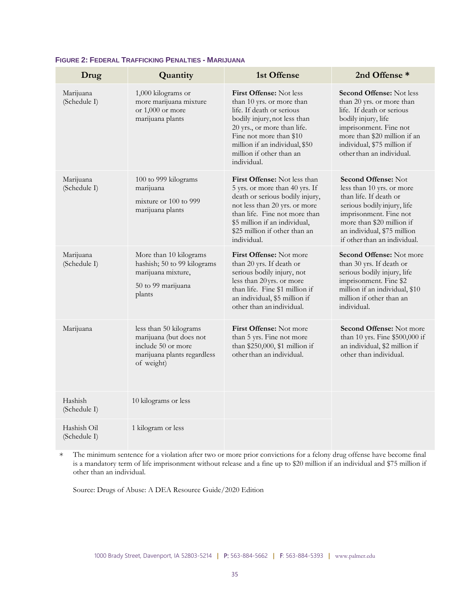| Drug                        | Quantity                                                                                                             | 1st Offense                                                                                                                                                                                                                                                     | 2nd Offense *                                                                                                                                                                                                                          |
|-----------------------------|----------------------------------------------------------------------------------------------------------------------|-----------------------------------------------------------------------------------------------------------------------------------------------------------------------------------------------------------------------------------------------------------------|----------------------------------------------------------------------------------------------------------------------------------------------------------------------------------------------------------------------------------------|
| Marijuana<br>(Schedule I)   | 1,000 kilograms or<br>more marijuana mixture<br>or 1,000 or more<br>marijuana plants                                 | <b>First Offense:</b> Not less<br>than 10 yrs. or more than<br>life. If death or serious<br>bodily injury, not less than<br>20 yrs., or more than life.<br>Fine not more than \$10<br>million if an individual, \$50<br>million if other than an<br>individual. | <b>Second Offense: Not less</b><br>than 20 yrs. or more than<br>life. If death or serious<br>bodily injury, life<br>imprisonment. Fine not<br>more than \$20 million if an<br>individual, \$75 million if<br>other than an individual. |
| Marijuana<br>(Schedule I)   | 100 to 999 kilograms<br>marijuana<br>mixture or 100 to 999<br>marijuana plants                                       | <b>First Offense:</b> Not less than<br>5 yrs. or more than 40 yrs. If<br>death or serious bodily injury,<br>not less than 20 yrs. or more<br>than life. Fine not more than<br>\$5 million if an individual,<br>\$25 million if other than an<br>individual.     | <b>Second Offense: Not</b><br>less than 10 yrs. or more<br>than life. If death or<br>serious bodily injury, life<br>imprisonment. Fine not<br>more than \$20 million if<br>an individual, \$75 million<br>if other than an individual. |
| Marijuana<br>(Schedule I)   | More than 10 kilograms<br>hashish; 50 to 99 kilograms<br>marijuana mixture,<br>50 to 99 marijuana<br>plants          | <b>First Offense:</b> Not more<br>than 20 yrs. If death or<br>serious bodily injury, not<br>less than 20 yrs. or more<br>than life. Fine \$1 million if<br>an individual, \$5 million if<br>other than an individual.                                           | <b>Second Offense:</b> Not more<br>than 30 yrs. If death or<br>serious bodily injury, life<br>imprisonment. Fine \$2<br>million if an individual, \$10<br>million if other than an<br>individual.                                      |
| Marijuana                   | less than 50 kilograms<br>marijuana (but does not<br>include 50 or more<br>marijuana plants regardless<br>of weight) | <b>First Offense:</b> Not more<br>than 5 yrs. Fine not more<br>than \$250,000, \$1 million if<br>other than an individual.                                                                                                                                      | <b>Second Offense:</b> Not more<br>than 10 yrs. Fine \$500,000 if<br>an individual, \$2 million if<br>other than individual.                                                                                                           |
| Hashish<br>(Schedule I)     | 10 kilograms or less                                                                                                 |                                                                                                                                                                                                                                                                 |                                                                                                                                                                                                                                        |
| Hashish Oil<br>(Schedule I) | 1 kilogram or less                                                                                                   |                                                                                                                                                                                                                                                                 |                                                                                                                                                                                                                                        |

#### **FIGURE 2: FEDERAL TRAFFICKING PENALTIES - MARIJUANA**

\* The minimum sentence for a violation after two or more prior convictions for a felony drug offense have become final is a mandatory term of life imprisonment without release and a fine up to \$20 million if an individual and \$75 million if other than an individual.

Source: Drugs of Abuse: A DEA Resource Guide/2020 Edition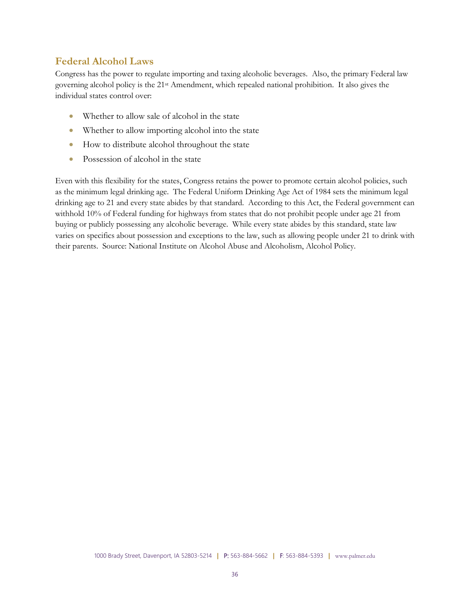## **Federal Alcohol Laws**

Congress has the power to regulate importing and taxing alcoholic beverages. Also, the primary Federal law governing alcohol policy is the 21st Amendment, which repealed national prohibition. It also gives the individual states control over:

- Whether to allow sale of alcohol in the state
- Whether to allow importing alcohol into the state
- How to distribute alcohol throughout the state
- Possession of alcohol in the state

Even with this flexibility for the states, Congress retains the power to promote certain alcohol policies, such as the minimum legal drinking age. The Federal Uniform Drinking Age Act of 1984 sets the minimum legal drinking age to 21 and every state abides by that standard. According to this Act, the Federal government can withhold 10% of Federal funding for highways from states that do not prohibit people under age 21 from buying or publicly possessing any alcoholic beverage. While every state abides by this standard, state law varies on specifics about possession and exceptions to the law, such as allowing people under 21 to drink with their parents. Source: National Institute on Alcohol Abuse and Alcoholism, Alcohol Policy.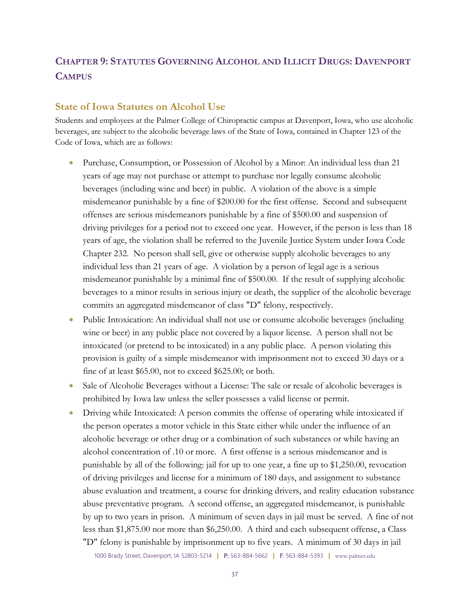# <span id="page-36-0"></span>**CHAPTER 9: STATUTES GOVERNING ALCOHOL AND ILLICIT DRUGS: DAVENPORT CAMPUS**

#### **State of Iowa Statutes on Alcohol Use**

Students and employees at the Palmer College of Chiropractic campus at Davenport, Iowa, who use alcoholic beverages, are subject to the alcoholic beverage laws of the State of Iowa, contained in Chapter 123 of the Code of Iowa, which are as follows:

- Purchase, Consumption, or Possession of Alcohol by a Minor: An individual less than 21 years of age may not purchase or attempt to purchase nor legally consume alcoholic beverages (including wine and beer) in public. A violation of the above is a simple misdemeanor punishable by a fine of \$200.00 for the first offense. Second and subsequent offenses are serious misdemeanors punishable by a fine of \$500.00 and suspension of driving privileges for a period not to exceed one year. However, if the person is less than 18 years of age, the violation shall be referred to the Juvenile Justice System under Iowa Code Chapter 232. No person shall sell, give or otherwise supply alcoholic beverages to any individual less than 21 years of age. A violation by a person of legal age is a serious misdemeanor punishable by a minimal fine of \$500.00. If the result of supplying alcoholic beverages to a minor results in serious injury or death, the supplier of the alcoholic beverage commits an aggregated misdemeanor of class "D" felony, respectively.
- Public Intoxication: An individual shall not use or consume alcoholic beverages (including wine or beer) in any public place not covered by a liquor license. A person shall not be intoxicated (or pretend to be intoxicated) in a any public place. A person violating this provision is guilty of a simple misdemeanor with imprisonment not to exceed 30 days or a fine of at least \$65.00, not to exceed \$625.00; or both.
- Sale of Alcoholic Beverages without a License: The sale or resale of alcoholic beverages is prohibited by Iowa law unless the seller possesses a valid license or permit.
- Driving while Intoxicated: A person commits the offense of operating while intoxicated if the person operates a motor vehicle in this State either while under the influence of an alcoholic beverage or other drug or a combination of such substances or while having an alcohol concentration of .10 or more. A first offense is a serious misdemeanor and is punishable by all of the following: jail for up to one year, a fine up to \$1,250.00, revocation of driving privileges and license for a minimum of 180 days, and assignment to substance abuse evaluation and treatment, a course for drinking drivers, and reality education substance abuse preventative program. A second offense, an aggregated misdemeanor, is punishable by up to two years in prison. A minimum of seven days in jail must be served. A fine of not less than \$1,875.00 nor more than \$6,250.00. A third and each subsequent offense, a Class "D" felony is punishable by imprisonment up to five years. A minimum of 30 days in jail

1000 Brady Street, Davenport, IA 52803-5214 **|** P: 563-884-5662 **|** F: 563-884-5393 **|** www.palmer.edu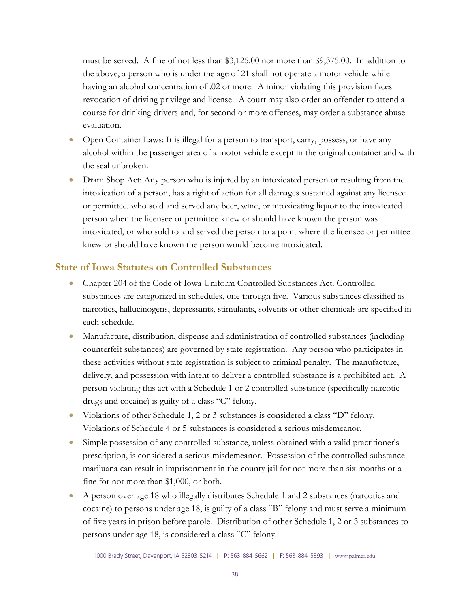must be served. A fine of not less than \$3,125.00 nor more than \$9,375.00. In addition to the above, a person who is under the age of 21 shall not operate a motor vehicle while having an alcohol concentration of .02 or more. A minor violating this provision faces revocation of driving privilege and license. A court may also order an offender to attend a course for drinking drivers and, for second or more offenses, may order a substance abuse evaluation.

- Open Container Laws: It is illegal for a person to transport, carry, possess, or have any alcohol within the passenger area of a motor vehicle except in the original container and with the seal unbroken.
- Dram Shop Act: Any person who is injured by an intoxicated person or resulting from the intoxication of a person, has a right of action for all damages sustained against any licensee or permittee, who sold and served any beer, wine, or intoxicating liquor to the intoxicated person when the licensee or permittee knew or should have known the person was intoxicated, or who sold to and served the person to a point where the licensee or permittee knew or should have known the person would become intoxicated.

## **State of Iowa Statutes on Controlled Substances**

- Chapter 204 of the Code of Iowa Uniform Controlled Substances Act. Controlled substances are categorized in schedules, one through five. Various substances classified as narcotics, hallucinogens, depressants, stimulants, solvents or other chemicals are specified in each schedule.
- Manufacture, distribution, dispense and administration of controlled substances (including counterfeit substances) are governed by state registration. Any person who participates in these activities without state registration is subject to criminal penalty. The manufacture, delivery, and possession with intent to deliver a controlled substance is a prohibited act. A person violating this act with a Schedule 1 or 2 controlled substance (specifically narcotic drugs and cocaine) is guilty of a class "C" felony.
- Violations of other Schedule 1, 2 or 3 substances is considered a class "D" felony. Violations of Schedule 4 or 5 substances is considered a serious misdemeanor.
- Simple possession of any controlled substance, unless obtained with a valid practitioner's prescription, is considered a serious misdemeanor. Possession of the controlled substance marijuana can result in imprisonment in the county jail for not more than six months or a fine for not more than \$1,000, or both.
- A person over age 18 who illegally distributes Schedule 1 and 2 substances (narcotics and cocaine) to persons under age 18, is guilty of a class "B" felony and must serve a minimum of five years in prison before parole. Distribution of other Schedule 1, 2 or 3 substances to persons under age 18, is considered a class "C" felony.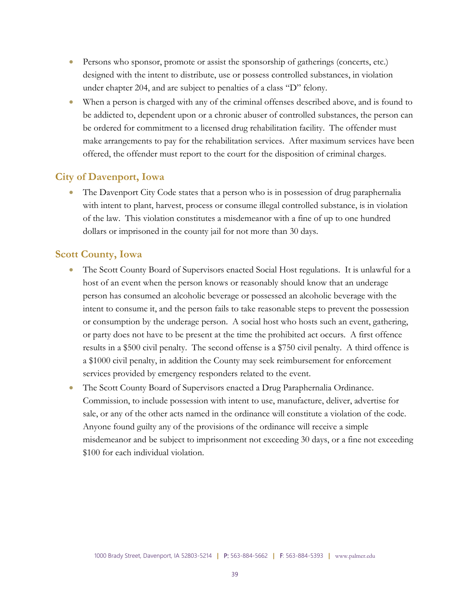- Persons who sponsor, promote or assist the sponsorship of gatherings (concerts, etc.) designed with the intent to distribute, use or possess controlled substances, in violation under chapter 204, and are subject to penalties of a class "D" felony.
- When a person is charged with any of the criminal offenses described above, and is found to be addicted to, dependent upon or a chronic abuser of controlled substances, the person can be ordered for commitment to a licensed drug rehabilitation facility. The offender must make arrangements to pay for the rehabilitation services. After maximum services have been offered, the offender must report to the court for the disposition of criminal charges.

## **City of Davenport, Iowa**

• The Davenport City Code states that a person who is in possession of drug paraphernalia with intent to plant, harvest, process or consume illegal controlled substance, is in violation of the law. This violation constitutes a misdemeanor with a fine of up to one hundred dollars or imprisoned in the county jail for not more than 30 days.

## **Scott County, Iowa**

- The Scott County Board of Supervisors enacted Social Host regulations. It is unlawful for a host of an event when the person knows or reasonably should know that an underage person has consumed an alcoholic beverage or possessed an alcoholic beverage with the intent to consume it, and the person fails to take reasonable steps to prevent the possession or consumption by the underage person. A social host who hosts such an event, gathering, or party does not have to be present at the time the prohibited act occurs. A first offence results in a \$500 civil penalty. The second offense is a \$750 civil penalty. A third offence is a \$1000 civil penalty, in addition the County may seek reimbursement for enforcement services provided by emergency responders related to the event.
- The Scott County Board of Supervisors enacted a Drug Paraphernalia Ordinance. Commission, to include possession with intent to use, manufacture, deliver, advertise for sale, or any of the other acts named in the ordinance will constitute a violation of the code. Anyone found guilty any of the provisions of the ordinance will receive a simple misdemeanor and be subject to imprisonment not exceeding 30 days, or a fine not exceeding \$100 for each individual violation.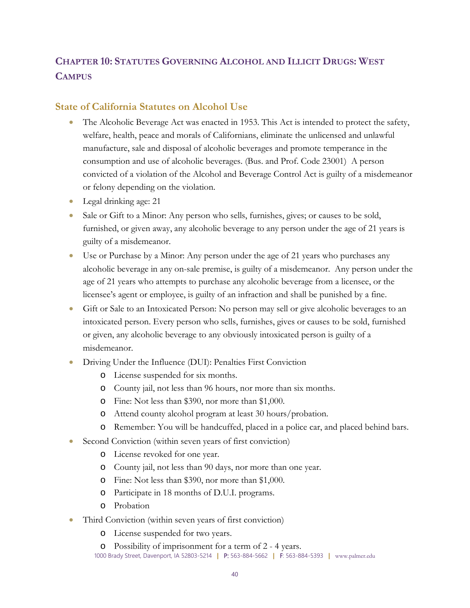# <span id="page-39-0"></span>**CHAPTER 10: STATUTES GOVERNING ALCOHOL AND ILLICIT DRUGS: WEST CAMPUS**

# **State of California Statutes on Alcohol Use**

- The Alcoholic Beverage Act was enacted in 1953. This Act is intended to protect the safety, welfare, health, peace and morals of Californians, eliminate the unlicensed and unlawful manufacture, sale and disposal of alcoholic beverages and promote temperance in the consumption and use of alcoholic beverages. (Bus. and Prof. Code 23001) A person convicted of a violation of the Alcohol and Beverage Control Act is guilty of a misdemeanor or felony depending on the violation.
- Legal drinking age: 21
- Sale or Gift to a Minor: Any person who sells, furnishes, gives; or causes to be sold, furnished, or given away, any alcoholic beverage to any person under the age of 21 years is guilty of a misdemeanor.
- Use or Purchase by a Minor: Any person under the age of 21 years who purchases any alcoholic beverage in any on-sale premise, is guilty of a misdemeanor. Any person under the age of 21 years who attempts to purchase any alcoholic beverage from a licensee, or the licensee's agent or employee, is guilty of an infraction and shall be punished by a fine.
- Gift or Sale to an Intoxicated Person: No person may sell or give alcoholic beverages to an intoxicated person. Every person who sells, furnishes, gives or causes to be sold, furnished or given, any alcoholic beverage to any obviously intoxicated person is guilty of a misdemeanor.
- Driving Under the Influence (DUI): Penalties First Conviction
	- o License suspended for six months.
	- o County jail, not less than 96 hours, nor more than six months.
	- o Fine: Not less than \$390, nor more than \$1,000.
	- o Attend county alcohol program at least 30 hours/probation.
	- o Remember: You will be handcuffed, placed in a police car, and placed behind bars.
- Second Conviction (within seven years of first conviction)
	- o License revoked for one year.
	- o County jail, not less than 90 days, nor more than one year.
	- o Fine: Not less than \$390, nor more than \$1,000.
	- o Participate in 18 months of D.U.I. programs.
	- o Probation
- Third Conviction (within seven years of first conviction)
	- o License suspended for two years.
	- o Possibility of imprisonment for a term of 2 4 years.
	- 1000 Brady Street, Davenport, IA 52803-5214 **|** P: 563-884-5662 **|** F: 563-884-5393 **|** www.palmer.edu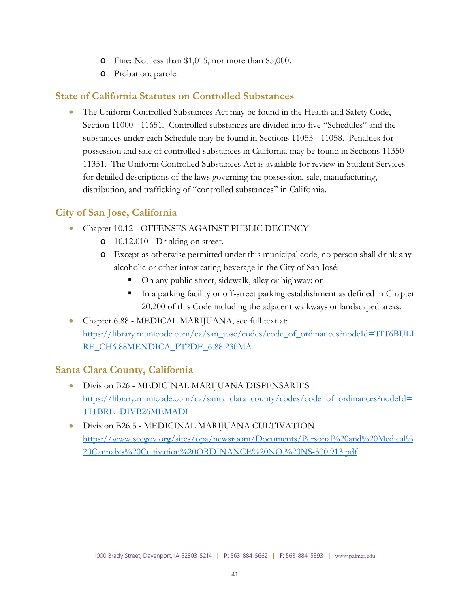- o Fine: Not less than \$1,015, nor more than \$5,000.
- o Probation; parole.

## **State of California Statutes on Controlled Substances**

• The Uniform Controlled Substances Act may be found in the Health and Safety Code, Section 11000 - 11651. Controlled substances are divided into five "Schedules" and the substances under each Schedule may be found in Sections 11053 - 11058. Penalties for possession and sale of controlled substances in California may be found in Sections 11350 - 11351. The Uniform Controlled Substances Act is available for review in Student Services for detailed descriptions of the laws governing the possession, sale, manufacturing, distribution, and trafficking of "controlled substances" in California.

# **City of San Jose, California**

- Chapter 10.12 OFFENSES AGAINST PUBLIC DECENCY
	- o 10.12.010 Drinking on street.
	- o Except as otherwise permitted under this municipal code, no person shall drink any alcoholic or other intoxicating beverage in the City of San José:
		- On any public street, sidewalk, alley or highway; or
		- In a parking facility or off-street parking establishment as defined in Chapter 20.200 of this Code including the adjacent walkways or landscaped areas.
- Chapter 6.88 MEDICAL MARIJUANA, see full text at: [https://library.municode.com/ca/san\\_jose/codes/code\\_of\\_ordinances?nodeId=TIT6BULI](https://library.municode.com/ca/san_jose/codes/code_of_ordinances?nodeId=TIT6BULIRE_CH6.88MENDICA_PT2DE_6.88.230MA) [RE\\_CH6.88MENDICA\\_PT2DE\\_6.88.230MA](https://library.municode.com/ca/san_jose/codes/code_of_ordinances?nodeId=TIT6BULIRE_CH6.88MENDICA_PT2DE_6.88.230MA)

## **Santa Clara County, California**

- Division B26 MEDICINAL MARIJUANA DISPENSARIES [https://library.municode.com/ca/santa\\_clara\\_county/codes/code\\_of\\_ordinances?nodeId=](https://library.municode.com/ca/santa_clara_county/codes/code_of_ordinances?nodeId=TITBRE_DIVB26MEMADI) [TITBRE\\_DIVB26MEMADI](https://library.municode.com/ca/santa_clara_county/codes/code_of_ordinances?nodeId=TITBRE_DIVB26MEMADI)
- Division B26.5 MEDICINAL MARIJUANA CULTIVATION [https://www.sccgov.org/sites/opa/newsroom/Documents/Personal%20and%20Medical%](https://www.sccgov.org/sites/opa/newsroom/Documents/Personal%20and%20Medical%20Cannabis%20Cultivation%20ORDINANCE%20NO.%20NS-300.913.pdf) [20Cannabis%20Cultivation%20ORDINANCE%20NO.%20NS-300.913.pdf](https://www.sccgov.org/sites/opa/newsroom/Documents/Personal%20and%20Medical%20Cannabis%20Cultivation%20ORDINANCE%20NO.%20NS-300.913.pdf)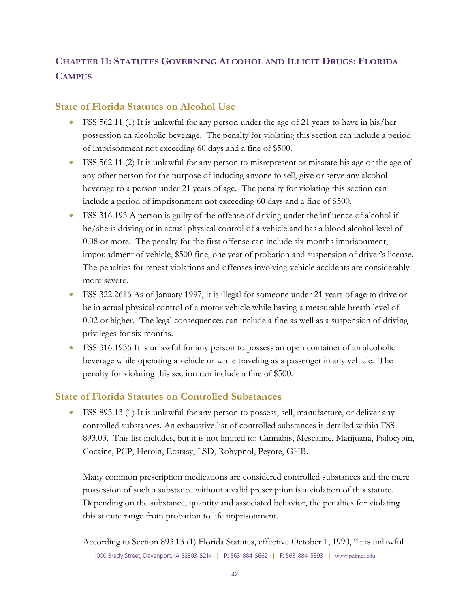# <span id="page-41-0"></span>**CHAPTER 11: STATUTES GOVERNING ALCOHOL AND ILLICIT DRUGS: FLORIDA CAMPUS**

## **State of Florida Statutes on Alcohol Use**

- FSS 562.11 (1) It is unlawful for any person under the age of 21 years to have in his/her possession an alcoholic beverage. The penalty for violating this section can include a period of imprisonment not exceeding 60 days and a fine of \$500.
- FSS 562.11 (2) It is unlawful for any person to misrepresent or misstate his age or the age of any other person for the purpose of inducing anyone to sell, give or serve any alcohol beverage to a person under 21 years of age. The penalty for violating this section can include a period of imprisonment not exceeding 60 days and a fine of \$500.
- FSS 316.193 A person is guilty of the offense of driving under the influence of alcohol if he/she is driving or in actual physical control of a vehicle and has a blood alcohol level of 0.08 or more. The penalty for the first offense can include six months imprisonment, impoundment of vehicle, \$500 fine, one year of probation and suspension of driver's license. The penalties for repeat violations and offenses involving vehicle accidents are considerably more severe.
- FSS 322.2616 As of January 1997, it is illegal for someone under 21 years of age to drive or be in actual physical control of a motor vehicle while having a measurable breath level of 0.02 or higher. The legal consequences can include a fine as well as a suspension of driving privileges for six months.
- FSS 316.1936 It is unlawful for any person to possess an open container of an alcoholic beverage while operating a vehicle or while traveling as a passenger in any vehicle. The penalty for violating this section can include a fine of \$500.

## **State of Florida Statutes on Controlled Substances**

• FSS 893.13 (1) It is unlawful for any person to possess, sell, manufacture, or deliver any controlled substances. An exhaustive list of controlled substances is detailed within FSS 893.03. This list includes, but it is not limited to: Cannabis, Mescaline, Marijuana, Psilocybin, Cocaine, PCP, Heroin, Ecstasy, LSD, Rohypnol, Peyote, GHB.

Many common prescription medications are considered controlled substances and the mere possession of such a substance without a valid prescription is a violation of this statute. Depending on the substance, quantity and associated behavior, the penalties for violating this statute range from probation to life imprisonment.

<sup>1000</sup> Brady Street, Davenport, IA 52803-5214 **|** P: 563-884-5662 **|** F: 563-884-5393 **|** www.palmer.edu According to Section 893.13 (1) Florida Statutes, effective October 1, 1990, "it is unlawful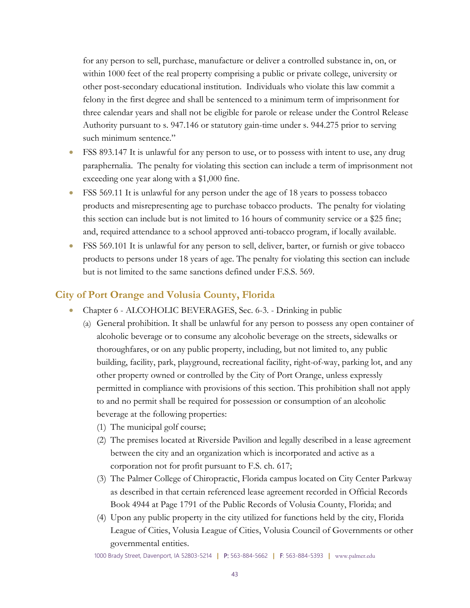for any person to sell, purchase, manufacture or deliver a controlled substance in, on, or within 1000 feet of the real property comprising a public or private college, university or other post-secondary educational institution. Individuals who violate this law commit a felony in the first degree and shall be sentenced to a minimum term of imprisonment for three calendar years and shall not be eligible for parole or release under the Control Release Authority pursuant to s. 947.146 or statutory gain-time under s. 944.275 prior to serving such minimum sentence."

- FSS 893.147 It is unlawful for any person to use, or to possess with intent to use, any drug paraphernalia. The penalty for violating this section can include a term of imprisonment not exceeding one year along with a \$1,000 fine.
- FSS 569.11 It is unlawful for any person under the age of 18 years to possess tobacco products and misrepresenting age to purchase tobacco products. The penalty for violating this section can include but is not limited to 16 hours of community service or a \$25 fine; and, required attendance to a school approved anti-tobacco program, if locally available.
- FSS 569.101 It is unlawful for any person to sell, deliver, barter, or furnish or give tobacco products to persons under 18 years of age. The penalty for violating this section can include but is not limited to the same sanctions defined under F.S.S. 569.

## **City of Port Orange and Volusia County, Florida**

- Chapter 6 ALCOHOLIC BEVERAGES, Sec. 6-3. Drinking in public
	- (a) General prohibition. It shall be unlawful for any person to possess any open container of alcoholic beverage or to consume any alcoholic beverage on the streets, sidewalks or thoroughfares, or on any public property, including, but not limited to, any public building, facility, park, playground, recreational facility, right-of-way, parking lot, and any other property owned or controlled by the City of Port Orange, unless expressly permitted in compliance with provisions of this section. This prohibition shall not apply to and no permit shall be required for possession or consumption of an alcoholic beverage at the following properties:
		- (1) The municipal golf course;
		- (2) The premises located at Riverside Pavilion and legally described in a lease agreement between the city and an organization which is incorporated and active as a corporation not for profit pursuant to F.S. ch. 617;
		- (3) The Palmer College of Chiropractic, Florida campus located on City Center Parkway as described in that certain referenced lease agreement recorded in Official Records Book 4944 at Page 1791 of the Public Records of Volusia County, Florida; and
		- (4) Upon any public property in the city utilized for functions held by the city, Florida League of Cities, Volusia League of Cities, Volusia Council of Governments or other governmental entities.

1000 Brady Street, Davenport, IA 52803-5214 **|** P: 563-884-5662 **|** F: 563-884-5393 **|** www.palmer.edu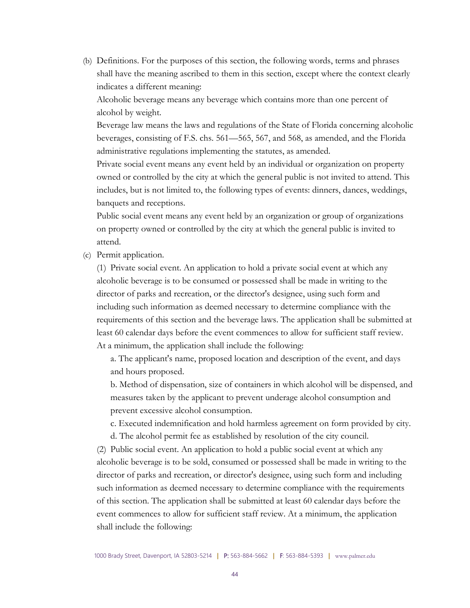(b) Definitions. For the purposes of this section, the following words, terms and phrases shall have the meaning ascribed to them in this section, except where the context clearly indicates a different meaning:

Alcoholic beverage means any beverage which contains more than one percent of alcohol by weight.

Beverage law means the laws and regulations of the State of Florida concerning alcoholic beverages, consisting of F.S. chs. 561—565, 567, and 568, as amended, and the Florida administrative regulations implementing the statutes, as amended.

Private social event means any event held by an individual or organization on property owned or controlled by the city at which the general public is not invited to attend. This includes, but is not limited to, the following types of events: dinners, dances, weddings, banquets and receptions.

Public social event means any event held by an organization or group of organizations on property owned or controlled by the city at which the general public is invited to attend.

(c) Permit application.

(1) Private social event. An application to hold a private social event at which any alcoholic beverage is to be consumed or possessed shall be made in writing to the director of parks and recreation, or the director's designee, using such form and including such information as deemed necessary to determine compliance with the requirements of this section and the beverage laws. The application shall be submitted at least 60 calendar days before the event commences to allow for sufficient staff review. At a minimum, the application shall include the following:

a. The applicant's name, proposed location and description of the event, and days and hours proposed.

b. Method of dispensation, size of containers in which alcohol will be dispensed, and measures taken by the applicant to prevent underage alcohol consumption and prevent excessive alcohol consumption.

c. Executed indemnification and hold harmless agreement on form provided by city.

d. The alcohol permit fee as established by resolution of the city council.

(2) Public social event. An application to hold a public social event at which any alcoholic beverage is to be sold, consumed or possessed shall be made in writing to the director of parks and recreation, or director's designee, using such form and including such information as deemed necessary to determine compliance with the requirements of this section. The application shall be submitted at least 60 calendar days before the event commences to allow for sufficient staff review. At a minimum, the application shall include the following: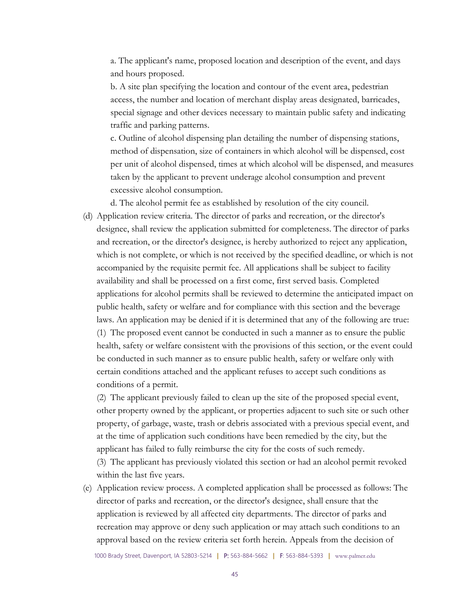a. The applicant's name, proposed location and description of the event, and days and hours proposed.

b. A site plan specifying the location and contour of the event area, pedestrian access, the number and location of merchant display areas designated, barricades, special signage and other devices necessary to maintain public safety and indicating traffic and parking patterns.

c. Outline of alcohol dispensing plan detailing the number of dispensing stations, method of dispensation, size of containers in which alcohol will be dispensed, cost per unit of alcohol dispensed, times at which alcohol will be dispensed, and measures taken by the applicant to prevent underage alcohol consumption and prevent excessive alcohol consumption.

d. The alcohol permit fee as established by resolution of the city council.

(d) Application review criteria. The director of parks and recreation, or the director's designee, shall review the application submitted for completeness. The director of parks and recreation, or the director's designee, is hereby authorized to reject any application, which is not complete, or which is not received by the specified deadline, or which is not accompanied by the requisite permit fee. All applications shall be subject to facility availability and shall be processed on a first come, first served basis. Completed applications for alcohol permits shall be reviewed to determine the anticipated impact on public health, safety or welfare and for compliance with this section and the beverage laws. An application may be denied if it is determined that any of the following are true: (1) The proposed event cannot be conducted in such a manner as to ensure the public health, safety or welfare consistent with the provisions of this section, or the event could be conducted in such manner as to ensure public health, safety or welfare only with certain conditions attached and the applicant refuses to accept such conditions as conditions of a permit.

(2) The applicant previously failed to clean up the site of the proposed special event, other property owned by the applicant, or properties adjacent to such site or such other property, of garbage, waste, trash or debris associated with a previous special event, and at the time of application such conditions have been remedied by the city, but the applicant has failed to fully reimburse the city for the costs of such remedy. (3) The applicant has previously violated this section or had an alcohol permit revoked

within the last five years.

(e) Application review process. A completed application shall be processed as follows: The director of parks and recreation, or the director's designee, shall ensure that the application is reviewed by all affected city departments. The director of parks and recreation may approve or deny such application or may attach such conditions to an approval based on the review criteria set forth herein. Appeals from the decision of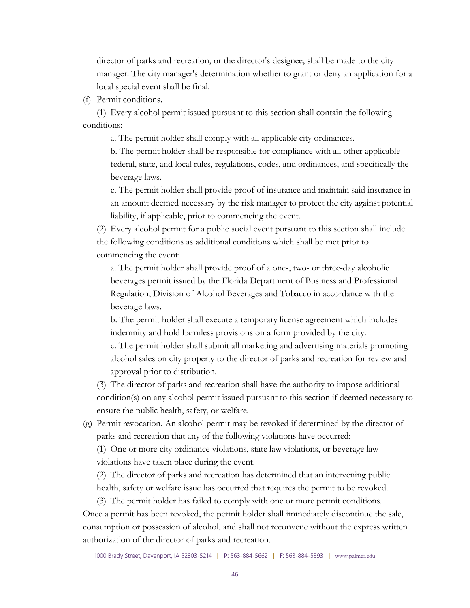director of parks and recreation, or the director's designee, shall be made to the city manager. The city manager's determination whether to grant or deny an application for a local special event shall be final.

(f) Permit conditions.

(1) Every alcohol permit issued pursuant to this section shall contain the following conditions:

a. The permit holder shall comply with all applicable city ordinances.

b. The permit holder shall be responsible for compliance with all other applicable federal, state, and local rules, regulations, codes, and ordinances, and specifically the beverage laws.

c. The permit holder shall provide proof of insurance and maintain said insurance in an amount deemed necessary by the risk manager to protect the city against potential liability, if applicable, prior to commencing the event.

(2) Every alcohol permit for a public social event pursuant to this section shall include the following conditions as additional conditions which shall be met prior to commencing the event:

a. The permit holder shall provide proof of a one-, two- or three-day alcoholic beverages permit issued by the Florida Department of Business and Professional Regulation, Division of Alcohol Beverages and Tobacco in accordance with the beverage laws.

b. The permit holder shall execute a temporary license agreement which includes indemnity and hold harmless provisions on a form provided by the city.

c. The permit holder shall submit all marketing and advertising materials promoting alcohol sales on city property to the director of parks and recreation for review and approval prior to distribution.

(3) The director of parks and recreation shall have the authority to impose additional condition(s) on any alcohol permit issued pursuant to this section if deemed necessary to ensure the public health, safety, or welfare.

(g) Permit revocation. An alcohol permit may be revoked if determined by the director of parks and recreation that any of the following violations have occurred:

(1) One or more city ordinance violations, state law violations, or beverage law violations have taken place during the event.

(2) The director of parks and recreation has determined that an intervening public health, safety or welfare issue has occurred that requires the permit to be revoked.

(3) The permit holder has failed to comply with one or more permit conditions. Once a permit has been revoked, the permit holder shall immediately discontinue the sale, consumption or possession of alcohol, and shall not reconvene without the express written authorization of the director of parks and recreation.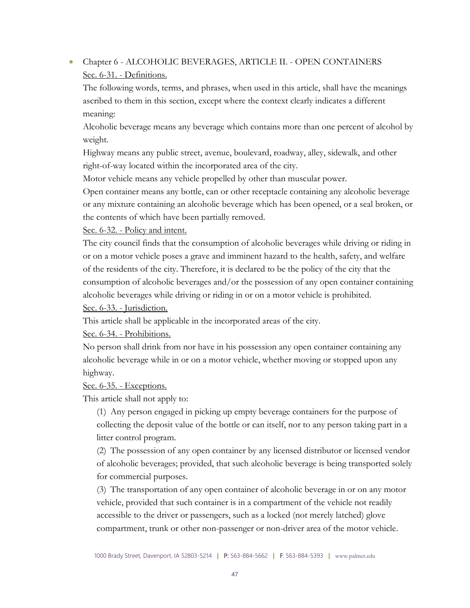# • Chapter 6 - ALCOHOLIC BEVERAGES, ARTICLE II. - OPEN CONTAINERS Sec. 6-31. - Definitions.

The following words, terms, and phrases, when used in this article, shall have the meanings ascribed to them in this section, except where the context clearly indicates a different meaning:

Alcoholic beverage means any beverage which contains more than one percent of alcohol by weight.

Highway means any public street, avenue, boulevard, roadway, alley, sidewalk, and other right-of-way located within the incorporated area of the city.

Motor vehicle means any vehicle propelled by other than muscular power.

Open container means any bottle, can or other receptacle containing any alcoholic beverage or any mixture containing an alcoholic beverage which has been opened, or a seal broken, or the contents of which have been partially removed.

Sec. 6-32. - Policy and intent.

The city council finds that the consumption of alcoholic beverages while driving or riding in or on a motor vehicle poses a grave and imminent hazard to the health, safety, and welfare of the residents of the city. Therefore, it is declared to be the policy of the city that the consumption of alcoholic beverages and/or the possession of any open container containing alcoholic beverages while driving or riding in or on a motor vehicle is prohibited.

Sec. 6-33. - Jurisdiction.

This article shall be applicable in the incorporated areas of the city.

Sec. 6-34. - Prohibitions.

No person shall drink from nor have in his possession any open container containing any alcoholic beverage while in or on a motor vehicle, whether moving or stopped upon any highway.

Sec. 6-35. - Exceptions.

This article shall not apply to:

(1) Any person engaged in picking up empty beverage containers for the purpose of collecting the deposit value of the bottle or can itself, nor to any person taking part in a litter control program.

(2) The possession of any open container by any licensed distributor or licensed vendor of alcoholic beverages; provided, that such alcoholic beverage is being transported solely for commercial purposes.

(3) The transportation of any open container of alcoholic beverage in or on any motor vehicle, provided that such container is in a compartment of the vehicle not readily accessible to the driver or passengers, such as a locked (not merely latched) glove compartment, trunk or other non-passenger or non-driver area of the motor vehicle.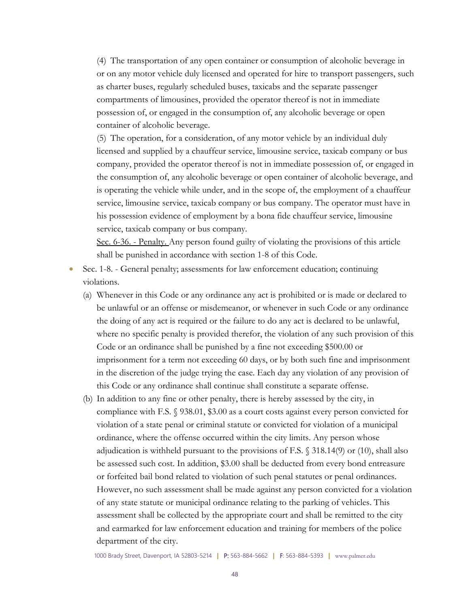(4) The transportation of any open container or consumption of alcoholic beverage in or on any motor vehicle duly licensed and operated for hire to transport passengers, such as charter buses, regularly scheduled buses, taxicabs and the separate passenger compartments of limousines, provided the operator thereof is not in immediate possession of, or engaged in the consumption of, any alcoholic beverage or open container of alcoholic beverage.

(5) The operation, for a consideration, of any motor vehicle by an individual duly licensed and supplied by a chauffeur service, limousine service, taxicab company or bus company, provided the operator thereof is not in immediate possession of, or engaged in the consumption of, any alcoholic beverage or open container of alcoholic beverage, and is operating the vehicle while under, and in the scope of, the employment of a chauffeur service, limousine service, taxicab company or bus company. The operator must have in his possession evidence of employment by a bona fide chauffeur service, limousine service, taxicab company or bus company.

Sec. 6-36. - Penalty. Any person found guilty of violating the provisions of this article shall be punished in accordance with section 1-8 of this Code.

- Sec. 1-8. General penalty; assessments for law enforcement education; continuing violations.
	- (a) Whenever in this Code or any ordinance any act is prohibited or is made or declared to be unlawful or an offense or misdemeanor, or whenever in such Code or any ordinance the doing of any act is required or the failure to do any act is declared to be unlawful, where no specific penalty is provided therefor, the violation of any such provision of this Code or an ordinance shall be punished by a fine not exceeding \$500.00 or imprisonment for a term not exceeding 60 days, or by both such fine and imprisonment in the discretion of the judge trying the case. Each day any violation of any provision of this Code or any ordinance shall continue shall constitute a separate offense.
	- (b) In addition to any fine or other penalty, there is hereby assessed by the city, in compliance with F.S. § 938.01, \$3.00 as a court costs against every person convicted for violation of a state penal or criminal statute or convicted for violation of a municipal ordinance, where the offense occurred within the city limits. Any person whose adjudication is withheld pursuant to the provisions of F.S. § 318.14(9) or (10), shall also be assessed such cost. In addition, \$3.00 shall be deducted from every bond entreasure or forfeited bail bond related to violation of such penal statutes or penal ordinances. However, no such assessment shall be made against any person convicted for a violation of any state statute or municipal ordinance relating to the parking of vehicles. This assessment shall be collected by the appropriate court and shall be remitted to the city and earmarked for law enforcement education and training for members of the police department of the city.

1000 Brady Street, Davenport, IA 52803-5214 **|** P: 563-884-5662 **|** F: 563-884-5393 **|** www.palmer.edu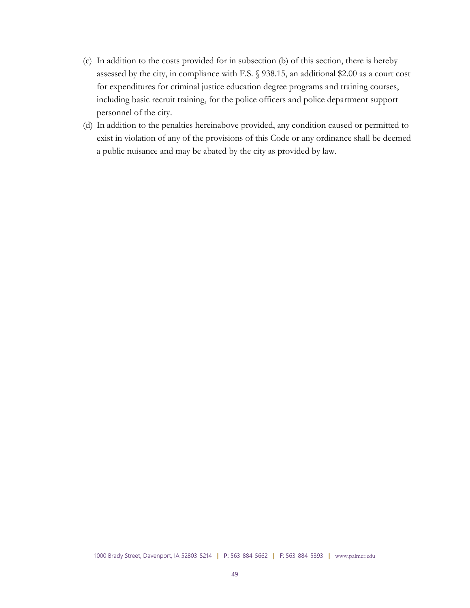- (c) In addition to the costs provided for in subsection (b) of this section, there is hereby assessed by the city, in compliance with F.S. § 938.15, an additional \$2.00 as a court cost for expenditures for criminal justice education degree programs and training courses, including basic recruit training, for the police officers and police department support personnel of the city.
- (d) In addition to the penalties hereinabove provided, any condition caused or permitted to exist in violation of any of the provisions of this Code or any ordinance shall be deemed a public nuisance and may be abated by the city as provided by law.